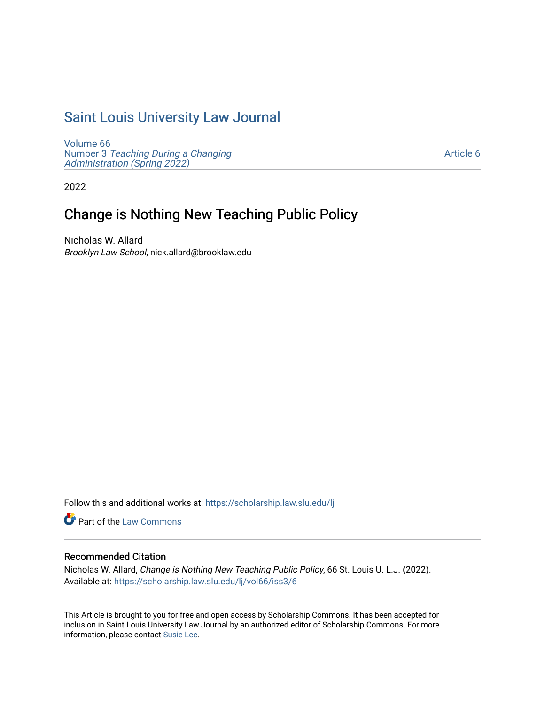# [Saint Louis University Law Journal](https://scholarship.law.slu.edu/lj)

[Volume 66](https://scholarship.law.slu.edu/lj/vol66) Number 3 [Teaching During a Changing](https://scholarship.law.slu.edu/lj/vol66/iss3)  Administration (Spring 2022)

[Article 6](https://scholarship.law.slu.edu/lj/vol66/iss3/6) 

2022

# Change is Nothing New Teaching Public Policy

Nicholas W. Allard Brooklyn Law School, nick.allard@brooklaw.edu

Follow this and additional works at: [https://scholarship.law.slu.edu/lj](https://scholarship.law.slu.edu/lj?utm_source=scholarship.law.slu.edu%2Flj%2Fvol66%2Fiss3%2F6&utm_medium=PDF&utm_campaign=PDFCoverPages) 

Part of the [Law Commons](https://network.bepress.com/hgg/discipline/578?utm_source=scholarship.law.slu.edu%2Flj%2Fvol66%2Fiss3%2F6&utm_medium=PDF&utm_campaign=PDFCoverPages)

# Recommended Citation

Nicholas W. Allard, Change is Nothing New Teaching Public Policy, 66 St. Louis U. L.J. (2022). Available at: [https://scholarship.law.slu.edu/lj/vol66/iss3/6](https://scholarship.law.slu.edu/lj/vol66/iss3/6?utm_source=scholarship.law.slu.edu%2Flj%2Fvol66%2Fiss3%2F6&utm_medium=PDF&utm_campaign=PDFCoverPages) 

This Article is brought to you for free and open access by Scholarship Commons. It has been accepted for inclusion in Saint Louis University Law Journal by an authorized editor of Scholarship Commons. For more information, please contact [Susie Lee](mailto:susie.lee@slu.edu).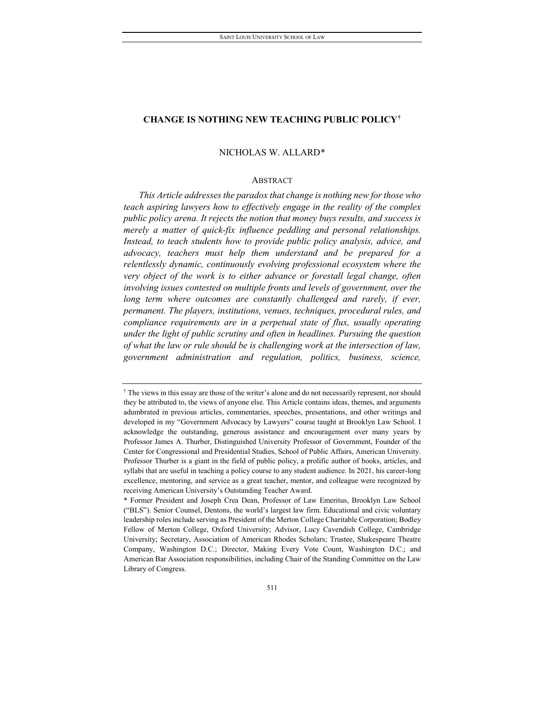# NICHOLAS W. ALLARD[\\*](#page-1-1)

# ABSTRACT

*This Article addresses the paradox that change is nothing new for those who teach aspiring lawyers how to effectively engage in the reality of the complex public policy arena. It rejects the notion that money buys results, and success is merely a matter of quick-fix influence peddling and personal relationships. Instead, to teach students how to provide public policy analysis, advice, and advocacy, teachers must help them understand and be prepared for a relentlessly dynamic, continuously evolving professional ecosystem where the very object of the work is to either advance or forestall legal change, often involving issues contested on multiple fronts and levels of government, over the long term where outcomes are constantly challenged and rarely, if ever, permanent. The players, institutions, venues, techniques, procedural rules, and compliance requirements are in a perpetual state of flux, usually operating under the light of public scrutiny and often in headlines. Pursuing the question of what the law or rule should be is challenging work at the intersection of law, government administration and regulation, politics, business, science,* 

<span id="page-1-0"></span><sup>†</sup> The views in this essay are those of the writer's alone and do not necessarily represent, nor should they be attributed to, the views of anyone else. This Article contains ideas, themes, and arguments adumbrated in previous articles, commentaries, speeches, presentations, and other writings and developed in my "Government Advocacy by Lawyers" course taught at Brooklyn Law School. I acknowledge the outstanding, generous assistance and encouragement over many years by Professor James A. Thurber, Distinguished University Professor of Government, Founder of the Center for Congressional and Presidential Studies, School of Public Affairs, American University. Professor Thurber is a giant in the field of public policy, a prolific author of books, articles, and syllabi that are useful in teaching a policy course to any student audience. In 2021, his career-long excellence, mentoring, and service as a great teacher, mentor, and colleague were recognized by receiving American University's Outstanding Teacher Award.

<span id="page-1-1"></span><sup>\*</sup> Former President and Joseph Crea Dean, Professor of Law Emeritus, Brooklyn Law School ("BLS"). Senior Counsel, Dentons, the world's largest law firm. Educational and civic voluntary leadership roles include serving as President of the Merton College Charitable Corporation; Bodley Fellow of Merton College, Oxford University; Advisor, Lucy Cavendish College, Cambridge University; Secretary, Association of American Rhodes Scholars; Trustee, Shakespeare Theatre Company, Washington D.C.; Director, Making Every Vote Count, Washington D.C.; and American Bar Association responsibilities, including Chair of the Standing Committee on the Law Library of Congress.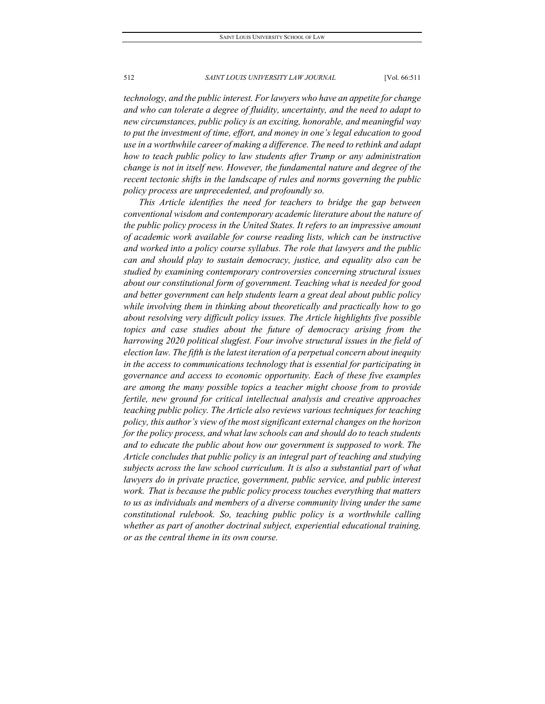*technology, and the public interest. For lawyers who have an appetite for change and who can tolerate a degree of fluidity, uncertainty, and the need to adapt to new circumstances, public policy is an exciting, honorable, and meaningful way to put the investment of time, effort, and money in one's legal education to good use in a worthwhile career of making a difference. The need to rethink and adapt how to teach public policy to law students after Trump or any administration change is not in itself new. However, the fundamental nature and degree of the recent tectonic shifts in the landscape of rules and norms governing the public policy process are unprecedented, and profoundly so.*

*This Article identifies the need for teachers to bridge the gap between conventional wisdom and contemporary academic literature about the nature of the public policy process in the United States. It refers to an impressive amount of academic work available for course reading lists, which can be instructive and worked into a policy course syllabus. The role that lawyers and the public can and should play to sustain democracy, justice, and equality also can be studied by examining contemporary controversies concerning structural issues about our constitutional form of government. Teaching what is needed for good and better government can help students learn a great deal about public policy while involving them in thinking about theoretically and practically how to go about resolving very difficult policy issues. The Article highlights five possible topics and case studies about the future of democracy arising from the harrowing 2020 political slugfest. Four involve structural issues in the field of election law. The fifth is the latest iteration of a perpetual concern about inequity in the access to communications technology that is essential for participating in governance and access to economic opportunity. Each of these five examples are among the many possible topics a teacher might choose from to provide fertile, new ground for critical intellectual analysis and creative approaches teaching public policy. The Article also reviews various techniques for teaching policy, this author's view of the most significant external changes on the horizon for the policy process, and what law schools can and should do to teach students and to educate the public about how our government is supposed to work. The Article concludes that public policy is an integral part of teaching and studying subjects across the law school curriculum. It is also a substantial part of what lawyers do in private practice, government, public service, and public interest work. That is because the public policy process touches everything that matters to us as individuals and members of a diverse community living under the same constitutional rulebook. So, teaching public policy is a worthwhile calling whether as part of another doctrinal subject, experiential educational training, or as the central theme in its own course.*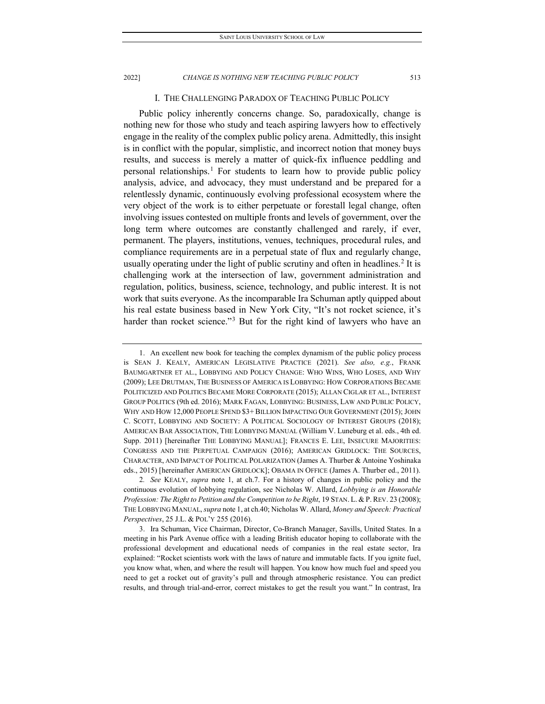# I. THE CHALLENGING PARADOX OF TEACHING PUBLIC POLICY

Public policy inherently concerns change. So, paradoxically, change is nothing new for those who study and teach aspiring lawyers how to effectively engage in the reality of the complex public policy arena. Admittedly, this insight is in conflict with the popular, simplistic, and incorrect notion that money buys results, and success is merely a matter of quick-fix influence peddling and personal relationships.<sup>[1](#page-3-0)</sup> For students to learn how to provide public policy analysis, advice, and advocacy, they must understand and be prepared for a relentlessly dynamic, continuously evolving professional ecosystem where the very object of the work is to either perpetuate or forestall legal change, often involving issues contested on multiple fronts and levels of government, over the long term where outcomes are constantly challenged and rarely, if ever, permanent. The players, institutions, venues, techniques, procedural rules, and compliance requirements are in a perpetual state of flux and regularly change, usually operating under the light of public scrutiny and often in headlines.<sup>[2](#page-3-1)</sup> It is challenging work at the intersection of law, government administration and regulation, politics, business, science, technology, and public interest. It is not work that suits everyone. As the incomparable Ira Schuman aptly quipped about his real estate business based in New York City, "It's not rocket science, it's harder than rocket science."<sup>[3](#page-3-2)</sup> But for the right kind of lawyers who have an

<span id="page-3-0"></span><sup>1.</sup> An excellent new book for teaching the complex dynamism of the public policy process is SEAN J. KEALY, AMERICAN LEGISLATIVE PRACTICE (2021). *See also, e.g.*, FRANK BAUMGARTNER ET AL., LOBBYING AND POLICY CHANGE: WHO WINS, WHO LOSES, AND WHY (2009); LEE DRUTMAN, THE BUSINESS OF AMERICA IS LOBBYING: HOW CORPORATIONS BECAME POLITICIZED AND POLITICS BECAME MORE CORPORATE (2015); ALLAN CIGLAR ET AL., INTEREST GROUP POLITICS (9th ed. 2016); MARK FAGAN, LOBBYING: BUSINESS, LAW AND PUBLIC POLICY, WHY AND HOW 12,000 PEOPLE SPEND \$3+ BILLION IMPACTING OUR GOVERNMENT (2015); JOHN C. SCOTT, LOBBYING AND SOCIETY: A POLITICAL SOCIOLOGY OF INTEREST GROUPS (2018); AMERICAN BAR ASSOCIATION, THE LOBBYING MANUAL (William V. Luneburg et al. eds., 4th ed. Supp. 2011) [hereinafter THE LOBBYING MANUAL]; FRANCES E. LEE, INSECURE MAJORITIES: CONGRESS AND THE PERPETUAL CAMPAIGN (2016); AMERICAN GRIDLOCK: THE SOURCES, CHARACTER, AND IMPACT OF POLITICAL POLARIZATION (James A. Thurber & Antoine Yoshinaka eds., 2015) [hereinafter AMERICAN GRIDLOCK]; OBAMA IN OFFICE (James A. Thurber ed., 2011).

<span id="page-3-1"></span><sup>2</sup>*. See* KEALY, *supra* note 1, at ch.7. For a history of changes in public policy and the continuous evolution of lobbying regulation, see Nicholas W. Allard, *Lobbying is an Honorable Profession: The Right to Petition and the Competition to be Right*, 19 STAN. L. & P. REV. 23 (2008); THE LOBBYING MANUAL, *supra* note 1, at ch.40; Nicholas W. Allard, *Money and Speech: Practical Perspectives*, 25 J.L. & POL'Y 255 (2016).

<span id="page-3-2"></span><sup>3.</sup> Ira Schuman, Vice Chairman, Director, Co-Branch Manager, Savills, United States. In a meeting in his Park Avenue office with a leading British educator hoping to collaborate with the professional development and educational needs of companies in the real estate sector, Ira explained: "Rocket scientists work with the laws of nature and immutable facts. If you ignite fuel, you know what, when, and where the result will happen. You know how much fuel and speed you need to get a rocket out of gravity's pull and through atmospheric resistance. You can predict results, and through trial-and-error, correct mistakes to get the result you want." In contrast, Ira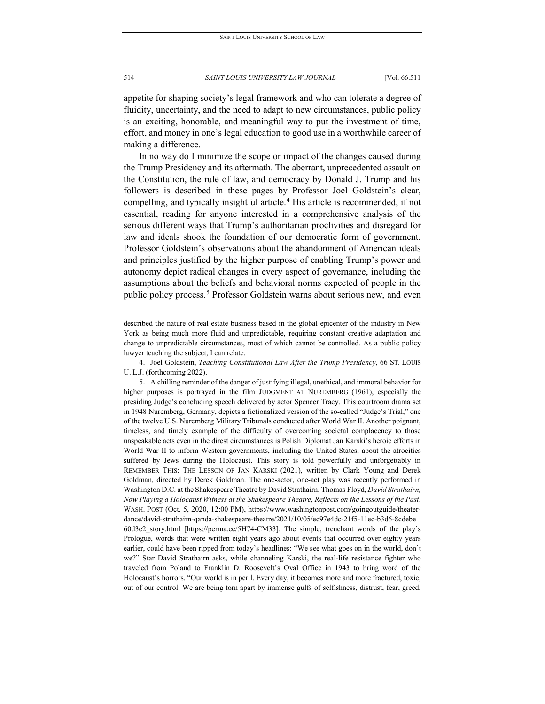appetite for shaping society's legal framework and who can tolerate a degree of fluidity, uncertainty, and the need to adapt to new circumstances, public policy is an exciting, honorable, and meaningful way to put the investment of time, effort, and money in one's legal education to good use in a worthwhile career of making a difference.

In no way do I minimize the scope or impact of the changes caused during the Trump Presidency and its aftermath. The aberrant, unprecedented assault on the Constitution, the rule of law, and democracy by Donald J. Trump and his followers is described in these pages by Professor Joel Goldstein's clear, compelling, and typically insightful article.[4](#page-4-0) His article is recommended, if not essential, reading for anyone interested in a comprehensive analysis of the serious different ways that Trump's authoritarian proclivities and disregard for law and ideals shook the foundation of our democratic form of government. Professor Goldstein's observations about the abandonment of American ideals and principles justified by the higher purpose of enabling Trump's power and autonomy depict radical changes in every aspect of governance, including the assumptions about the beliefs and behavioral norms expected of people in the public policy process.<sup>[5](#page-4-1)</sup> Professor Goldstein warns about serious new, and even

described the nature of real estate business based in the global epicenter of the industry in New York as being much more fluid and unpredictable, requiring constant creative adaptation and change to unpredictable circumstances, most of which cannot be controlled. As a public policy lawyer teaching the subject, I can relate.

<span id="page-4-0"></span><sup>4.</sup> Joel Goldstein, *Teaching Constitutional Law After the Trump Presidency*, 66 ST. LOUIS U. L.J. (forthcoming 2022).

<span id="page-4-1"></span><sup>5.</sup> A chilling reminder of the danger of justifying illegal, unethical, and immoral behavior for higher purposes is portrayed in the film JUDGMENT AT NUREMBERG (1961), especially the presiding Judge's concluding speech delivered by actor Spencer Tracy. This courtroom drama set in 1948 Nuremberg, Germany, depicts a fictionalized version of the so-called "Judge's Trial," one of the twelve U.S. Nuremberg Military Tribunals conducted after World War II. Another poignant, timeless, and timely example of the difficulty of overcoming societal complacency to those unspeakable acts even in the direst circumstances is Polish Diplomat Jan Karski's heroic efforts in World War II to inform Western governments, including the United States, about the atrocities suffered by Jews during the Holocaust. This story is told powerfully and unforgettably in REMEMBER THIS: THE LESSON OF JAN KARSKI (2021), written by Clark Young and Derek Goldman, directed by Derek Goldman. The one-actor, one-act play was recently performed in Washington D.C. at the Shakespeare Theatre by David Strathairn. Thomas Floyd, *David Strathairn, Now Playing a Holocaust Witness at the Shakespeare Theatre, Reflects on the Lessons of the Past*, WASH. POST (Oct. 5, 2020, 12:00 PM), https://www.washingtonpost.com/goingoutguide/theaterdance/david-strathairn-qanda-shakespeare-theatre/2021/10/05/ec97e4dc-21f5-11ec-b3d6-8cdebe 60d3e2\_story.html [https://perma.cc/5H74-CM33]. The simple, trenchant words of the play's Prologue, words that were written eight years ago about events that occurred over eighty years earlier, could have been ripped from today's headlines: "We see what goes on in the world, don't we?" Star David Strathairn asks, while channeling Karski, the real-life resistance fighter who traveled from Poland to Franklin D. Roosevelt's Oval Office in 1943 to bring word of the Holocaust's horrors. "Our world is in peril. Every day, it becomes more and more fractured, toxic, out of our control. We are being torn apart by immense gulfs of selfishness, distrust, fear, greed,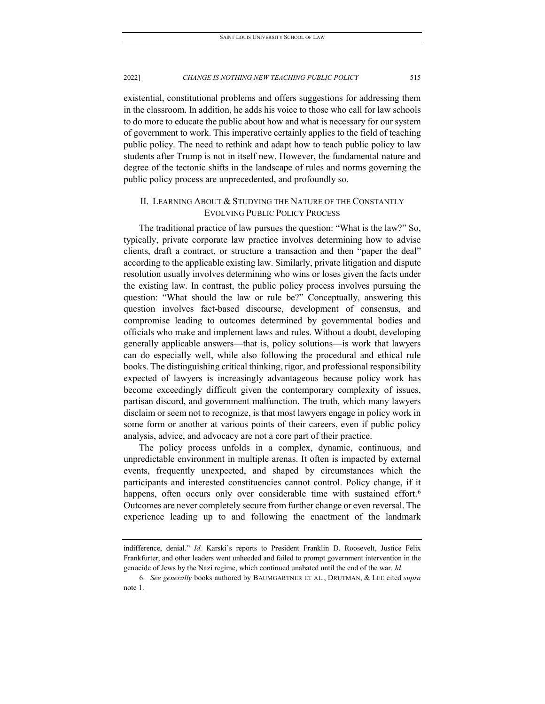existential, constitutional problems and offers suggestions for addressing them in the classroom. In addition, he adds his voice to those who call for law schools to do more to educate the public about how and what is necessary for our system of government to work. This imperative certainly applies to the field of teaching public policy. The need to rethink and adapt how to teach public policy to law students after Trump is not in itself new. However, the fundamental nature and degree of the tectonic shifts in the landscape of rules and norms governing the public policy process are unprecedented, and profoundly so.

# II. LEARNING ABOUT & STUDYING THE NATURE OF THE CONSTANTLY EVOLVING PUBLIC POLICY PROCESS

The traditional practice of law pursues the question: "What is the law?" So, typically, private corporate law practice involves determining how to advise clients, draft a contract, or structure a transaction and then "paper the deal" according to the applicable existing law. Similarly, private litigation and dispute resolution usually involves determining who wins or loses given the facts under the existing law. In contrast, the public policy process involves pursuing the question: "What should the law or rule be?" Conceptually, answering this question involves fact-based discourse, development of consensus, and compromise leading to outcomes determined by governmental bodies and officials who make and implement laws and rules. Without a doubt, developing generally applicable answers—that is, policy solutions—is work that lawyers can do especially well, while also following the procedural and ethical rule books. The distinguishing critical thinking, rigor, and professional responsibility expected of lawyers is increasingly advantageous because policy work has become exceedingly difficult given the contemporary complexity of issues, partisan discord, and government malfunction. The truth, which many lawyers disclaim or seem not to recognize, is that most lawyers engage in policy work in some form or another at various points of their careers, even if public policy analysis, advice, and advocacy are not a core part of their practice.

The policy process unfolds in a complex, dynamic, continuous, and unpredictable environment in multiple arenas. It often is impacted by external events, frequently unexpected, and shaped by circumstances which the participants and interested constituencies cannot control. Policy change, if it happens, often occurs only over considerable time with sustained effort.<sup>6</sup> Outcomes are never completely secure from further change or even reversal. The experience leading up to and following the enactment of the landmark

indifference, denial." *Id.* Karski's reports to President Franklin D. Roosevelt, Justice Felix Frankfurter, and other leaders went unheeded and failed to prompt government intervention in the genocide of Jews by the Nazi regime, which continued unabated until the end of the war. *Id*.

<span id="page-5-0"></span><sup>6.</sup> *See generally* books authored by BAUMGARTNER ET AL., DRUTMAN, & LEE cited *supra* note 1.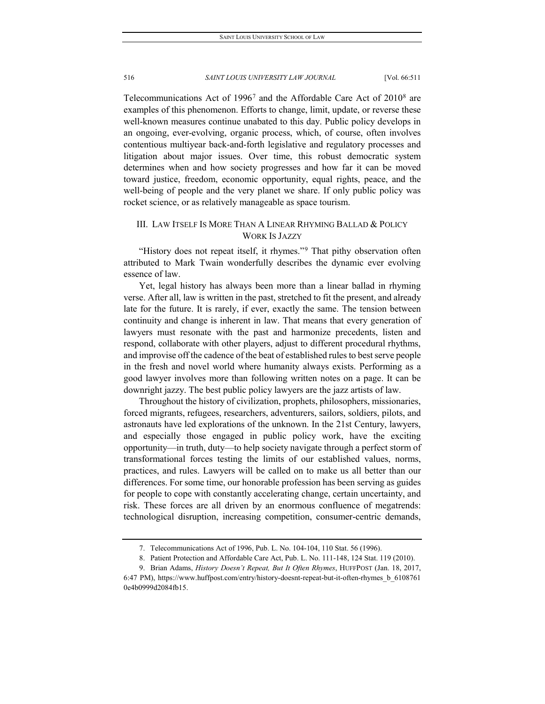Telecommunications Act of 1996[7](#page-6-0) and the Affordable Care Act of 2010[8](#page-6-1) are examples of this phenomenon. Efforts to change, limit, update, or reverse these well-known measures continue unabated to this day. Public policy develops in an ongoing, ever-evolving, organic process, which, of course, often involves contentious multiyear back-and-forth legislative and regulatory processes and litigation about major issues. Over time, this robust democratic system determines when and how society progresses and how far it can be moved toward justice, freedom, economic opportunity, equal rights, peace, and the well-being of people and the very planet we share. If only public policy was rocket science, or as relatively manageable as space tourism.

# III. LAW ITSELF IS MORE THAN A LINEAR RHYMING BALLAD & POLICY WORK IS JAZZY

"History does not repeat itself, it rhymes."[9](#page-6-2) That pithy observation often attributed to Mark Twain wonderfully describes the dynamic ever evolving essence of law.

Yet, legal history has always been more than a linear ballad in rhyming verse. After all, law is written in the past, stretched to fit the present, and already late for the future. It is rarely, if ever, exactly the same. The tension between continuity and change is inherent in law. That means that every generation of lawyers must resonate with the past and harmonize precedents, listen and respond, collaborate with other players, adjust to different procedural rhythms, and improvise off the cadence of the beat of established rules to best serve people in the fresh and novel world where humanity always exists. Performing as a good lawyer involves more than following written notes on a page. It can be downright jazzy. The best public policy lawyers are the jazz artists of law.

Throughout the history of civilization, prophets, philosophers, missionaries, forced migrants, refugees, researchers, adventurers, sailors, soldiers, pilots, and astronauts have led explorations of the unknown. In the 21st Century, lawyers, and especially those engaged in public policy work, have the exciting opportunity—in truth, duty—to help society navigate through a perfect storm of transformational forces testing the limits of our established values, norms, practices, and rules. Lawyers will be called on to make us all better than our differences. For some time, our honorable profession has been serving as guides for people to cope with constantly accelerating change, certain uncertainty, and risk. These forces are all driven by an enormous confluence of megatrends: technological disruption, increasing competition, consumer-centric demands,

<sup>7.</sup> Telecommunications Act of 1996, Pub. L. No. 104-104, 110 Stat. 56 (1996).

<sup>8.</sup> Patient Protection and Affordable Care Act, Pub. L. No. 111-148, 124 Stat. 119 (2010).

<span id="page-6-2"></span><span id="page-6-1"></span><span id="page-6-0"></span><sup>9.</sup> Brian Adams, *History Doesn't Repeat, But It Often Rhymes*, HUFFPOST (Jan. 18, 2017, 6:47 PM), https://www.huffpost.com/entry/history-doesnt-repeat-but-it-often-rhymes\_b\_6108761 0e4b0999d2084fb15.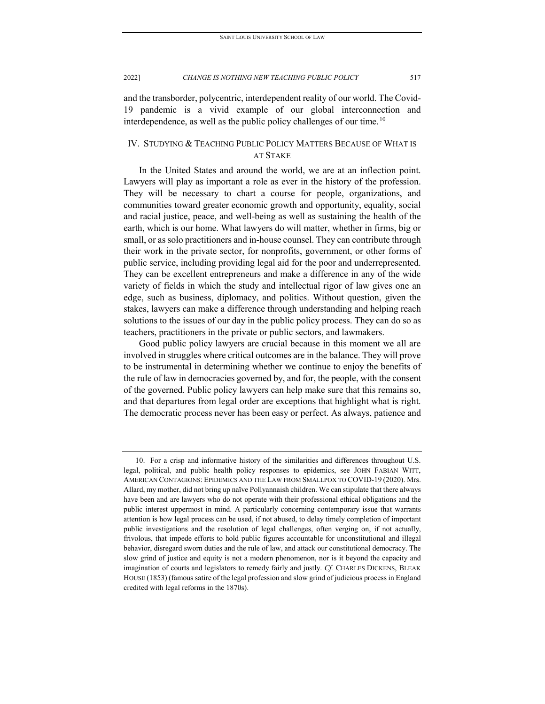and the transborder, polycentric, interdependent reality of our world. The Covid-19 pandemic is a vivid example of our global interconnection and interdependence, as well as the public policy challenges of our time.<sup>[10](#page-7-0)</sup>

# IV. STUDYING & TEACHING PUBLIC POLICY MATTERS BECAUSE OF WHAT IS AT STAKE

In the United States and around the world, we are at an inflection point. Lawyers will play as important a role as ever in the history of the profession. They will be necessary to chart a course for people, organizations, and communities toward greater economic growth and opportunity, equality, social and racial justice, peace, and well-being as well as sustaining the health of the earth, which is our home. What lawyers do will matter, whether in firms, big or small, or as solo practitioners and in-house counsel. They can contribute through their work in the private sector, for nonprofits, government, or other forms of public service, including providing legal aid for the poor and underrepresented. They can be excellent entrepreneurs and make a difference in any of the wide variety of fields in which the study and intellectual rigor of law gives one an edge, such as business, diplomacy, and politics. Without question, given the stakes, lawyers can make a difference through understanding and helping reach solutions to the issues of our day in the public policy process. They can do so as teachers, practitioners in the private or public sectors, and lawmakers.

Good public policy lawyers are crucial because in this moment we all are involved in struggles where critical outcomes are in the balance. They will prove to be instrumental in determining whether we continue to enjoy the benefits of the rule of law in democracies governed by, and for, the people, with the consent of the governed. Public policy lawyers can help make sure that this remains so, and that departures from legal order are exceptions that highlight what is right. The democratic process never has been easy or perfect. As always, patience and

<span id="page-7-0"></span><sup>10.</sup> For a crisp and informative history of the similarities and differences throughout U.S. legal, political, and public health policy responses to epidemics, see JOHN FABIAN WITT, AMERICAN CONTAGIONS: EPIDEMICS AND THE LAW FROM SMALLPOX TO COVID-19 (2020). Mrs. Allard, my mother, did not bring up naïve Pollyannaish children. We can stipulate that there always have been and are lawyers who do not operate with their professional ethical obligations and the public interest uppermost in mind. A particularly concerning contemporary issue that warrants attention is how legal process can be used, if not abused, to delay timely completion of important public investigations and the resolution of legal challenges, often verging on, if not actually, frivolous, that impede efforts to hold public figures accountable for unconstitutional and illegal behavior, disregard sworn duties and the rule of law, and attack our constitutional democracy. The slow grind of justice and equity is not a modern phenomenon, nor is it beyond the capacity and imagination of courts and legislators to remedy fairly and justly. *Cf.* CHARLES DICKENS, BLEAK HOUSE (1853) (famous satire of the legal profession and slow grind of judicious process in England credited with legal reforms in the 1870s).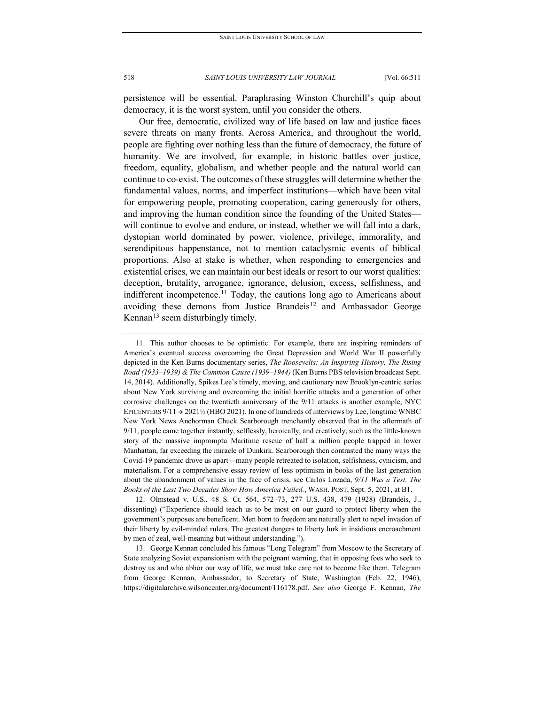persistence will be essential. Paraphrasing Winston Churchill's quip about democracy, it is the worst system, until you consider the others.

Our free, democratic, civilized way of life based on law and justice faces severe threats on many fronts. Across America, and throughout the world, people are fighting over nothing less than the future of democracy, the future of humanity. We are involved, for example, in historic battles over justice, freedom, equality, globalism, and whether people and the natural world can continue to co-exist. The outcomes of these struggles will determine whether the fundamental values, norms, and imperfect institutions—which have been vital for empowering people, promoting cooperation, caring generously for others, and improving the human condition since the founding of the United States will continue to evolve and endure, or instead, whether we will fall into a dark, dystopian world dominated by power, violence, privilege, immorality, and serendipitous happenstance, not to mention cataclysmic events of biblical proportions. Also at stake is whether, when responding to emergencies and existential crises, we can maintain our best ideals or resort to our worst qualities: deception, brutality, arrogance, ignorance, delusion, excess, selfishness, and indifferent incompetence.<sup>[11](#page-8-0)</sup> Today, the cautions long ago to Americans about avoiding these demons from Justice Brandeis<sup>12</sup> and Ambassador George Kennan $^{13}$  $^{13}$  $^{13}$  seem disturbingly timely.

<span id="page-8-0"></span><sup>11.</sup> This author chooses to be optimistic. For example, there are inspiring reminders of America's eventual success overcoming the Great Depression and World War II powerfully depicted in the Ken Burns documentary series, *The Roosevelts: An Inspiring History, The Rising Road (1933–1939) & The Common Cause (1939–1944)* (Ken Burns PBS television broadcast Sept. 14, 2014). Additionally, Spikes Lee's timely, moving, and cautionary new Brooklyn-centric series about New York surviving and overcoming the initial horrific attacks and a generation of other corrosive challenges on the twentieth anniversary of the 9/11 attacks is another example, NYC EPICENTERS  $9/11 \rightarrow 2021\frac{1}{2}$  (HBO 2021). In one of hundreds of interviews by Lee, longtime WNBC New York News Anchorman Chuck Scarborough trenchantly observed that in the aftermath of 9/11, people came together instantly, selflessly, heroically, and creatively, such as the little-known story of the massive impromptu Maritime rescue of half a million people trapped in lower Manhattan, far exceeding the miracle of Dunkirk. Scarborough then contrasted the many ways the Covid-19 pandemic drove us apart—many people retreated to isolation, selfishness, cynicism, and materialism. For a comprehensive essay review of less optimism in books of the last generation about the abandonment of values in the face of crisis, see Carlos Lozada, *9/11 Was a Test. The Books of the Last Two Decades Show How America Failed.*, WASH. POST, Sept. 5, 2021, at B1.

<span id="page-8-1"></span><sup>12.</sup> Olmstead v. U.S., 48 S. Ct. 564, 572–73, 277 U.S. 438, 479 (1928) (Brandeis, J., dissenting) ("Experience should teach us to be most on our guard to protect liberty when the government's purposes are beneficent. Men born to freedom are naturally alert to repel invasion of their liberty by evil-minded rulers. The greatest dangers to liberty lurk in insidious encroachment by men of zeal, well-meaning but without understanding.").

<span id="page-8-2"></span><sup>13.</sup> George Kennan concluded his famous "Long Telegram" from Moscow to the Secretary of State analyzing Soviet expansionism with the poignant warning, that in opposing foes who seek to destroy us and who abhor our way of life, we must take care not to become like them. Telegram from George Kennan, Ambassador, to Secretary of State, Washington (Feb. 22, 1946), https://digitalarchive.wilsoncenter.org/document/116178.pdf. *See also* George F. Kennan, *The*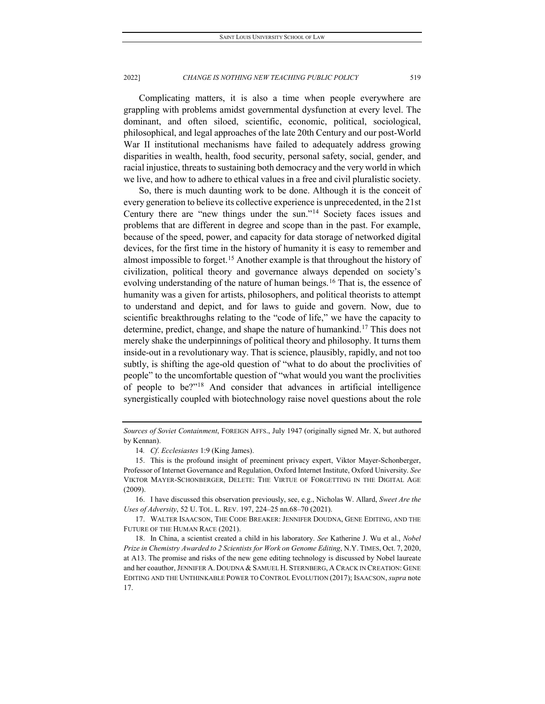Complicating matters, it is also a time when people everywhere are grappling with problems amidst governmental dysfunction at every level. The dominant, and often siloed, scientific, economic, political, sociological, philosophical, and legal approaches of the late 20th Century and our post-World War II institutional mechanisms have failed to adequately address growing disparities in wealth, health, food security, personal safety, social, gender, and racial injustice, threats to sustaining both democracy and the very world in which we live, and how to adhere to ethical values in a free and civil pluralistic society.

So, there is much daunting work to be done. Although it is the conceit of every generation to believe its collective experience is unprecedented, in the 21st Century there are "new things under the sun."[14](#page-9-0) Society faces issues and problems that are different in degree and scope than in the past. For example, because of the speed, power, and capacity for data storage of networked digital devices, for the first time in the history of humanity it is easy to remember and almost impossible to forget.<sup>[15](#page-9-1)</sup> Another example is that throughout the history of civilization, political theory and governance always depended on society's evolving understanding of the nature of human beings.<sup>[16](#page-9-2)</sup> That is, the essence of humanity was a given for artists, philosophers, and political theorists to attempt to understand and depict, and for laws to guide and govern. Now, due to scientific breakthroughs relating to the "code of life," we have the capacity to determine, predict, change, and shape the nature of humankind.<sup>[17](#page-9-3)</sup> This does not merely shake the underpinnings of political theory and philosophy. It turns them inside-out in a revolutionary way. That is science, plausibly, rapidly, and not too subtly, is shifting the age-old question of "what to do about the proclivities of people" to the uncomfortable question of "what would you want the proclivities of people to be?"[18](#page-9-4) And consider that advances in artificial intelligence synergistically coupled with biotechnology raise novel questions about the role

<span id="page-9-2"></span>16. I have discussed this observation previously, see, e.g., Nicholas W. Allard, *Sweet Are the Uses of Adversity*, 52 U. TOL. L. REV. 197, 224–25 nn.68–70 (2021).

<span id="page-9-3"></span>17. WALTER ISAACSON, THE CODE BREAKER: JENNIFER DOUDNA, GENE EDITING, AND THE FUTURE OF THE HUMAN RACE (2021).

*Sources of Soviet Containment*, FOREIGN AFFS., July 1947 (originally signed Mr. X, but authored by Kennan).

<sup>14</sup>*. Cf*. *Ecclesiastes* 1:9 (King James).

<span id="page-9-1"></span><span id="page-9-0"></span><sup>15.</sup> This is the profound insight of preeminent privacy expert, Viktor Mayer-Schonberger, Professor of Internet Governance and Regulation, Oxford Internet Institute, Oxford University. *See*  VIKTOR MAYER-SCHONBERGER, DELETE: THE VIRTUE OF FORGETTING IN THE DIGITAL AGE (2009).

<span id="page-9-4"></span><sup>18.</sup> In China, a scientist created a child in his laboratory. *See* Katherine J. Wu et al., *Nobel Prize in Chemistry Awarded to 2 Scientists for Work on Genome Editing*, N.Y. TIMES, Oct. 7, 2020, at A13. The promise and risks of the new gene editing technology is discussed by Nobel laureate and her coauthor, JENNIFER A. DOUDNA & SAMUEL H. STERNBERG, A CRACK IN CREATION: GENE EDITING AND THE UNTHINKABLE POWER TO CONTROL EVOLUTION (2017); ISAACSON, *supra* note 17.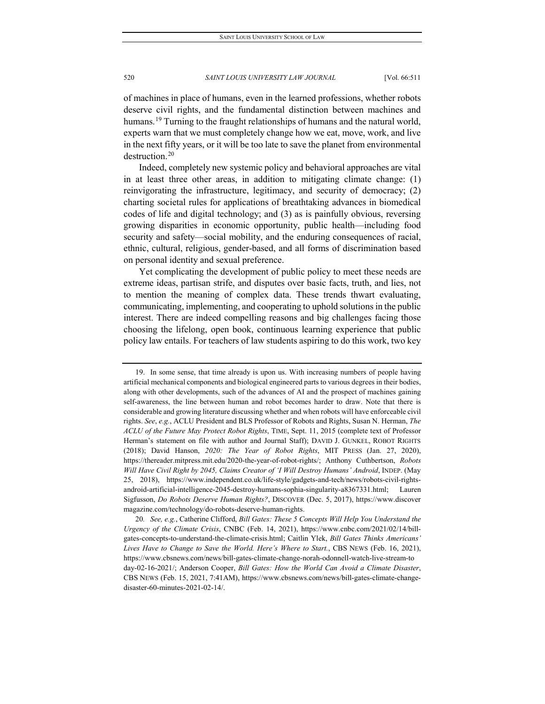of machines in place of humans, even in the learned professions, whether robots deserve civil rights, and the fundamental distinction between machines and humans.<sup>[19](#page-10-0)</sup> Turning to the fraught relationships of humans and the natural world, experts warn that we must completely change how we eat, move, work, and live in the next fifty years, or it will be too late to save the planet from environmental destruction.<sup>[20](#page-10-1)</sup>

Indeed, completely new systemic policy and behavioral approaches are vital in at least three other areas, in addition to mitigating climate change: (1) reinvigorating the infrastructure, legitimacy, and security of democracy; (2) charting societal rules for applications of breathtaking advances in biomedical codes of life and digital technology; and (3) as is painfully obvious, reversing growing disparities in economic opportunity, public health—including food security and safety—social mobility, and the enduring consequences of racial, ethnic, cultural, religious, gender-based, and all forms of discrimination based on personal identity and sexual preference.

Yet complicating the development of public policy to meet these needs are extreme ideas, partisan strife, and disputes over basic facts, truth, and lies, not to mention the meaning of complex data. These trends thwart evaluating, communicating, implementing, and cooperating to uphold solutions in the public interest. There are indeed compelling reasons and big challenges facing those choosing the lifelong, open book, continuous learning experience that public policy law entails. For teachers of law students aspiring to do this work, two key

<span id="page-10-0"></span><sup>19.</sup> In some sense, that time already is upon us. With increasing numbers of people having artificial mechanical components and biological engineered parts to various degrees in their bodies, along with other developments, such of the advances of AI and the prospect of machines gaining self-awareness, the line between human and robot becomes harder to draw. Note that there is considerable and growing literature discussing whether and when robots will have enforceable civil rights. *See*, *e.g.*, ACLU President and BLS Professor of Robots and Rights, Susan N. Herman, *The ACLU of the Future May Protect Robot Rights*, TIME, Sept. 11, 2015 (complete text of Professor Herman's statement on file with author and Journal Staff); DAVID J. GUNKEL, ROBOT RIGHTS (2018); David Hanson, *2020: The Year of Robot Rights*, MIT PRESS (Jan. 27, 2020), https://thereader.mitpress.mit.edu/2020-the-year-of-robot-rights/; Anthony Cuthbertson, *Robots Will Have Civil Right by 2045, Claims Creator of 'I Will Destroy Humans' Android*, INDEP. (May 25, 2018), https://www.independent.co.uk/life-style/gadgets-and-tech/news/robots-civil-rightsandroid-artificial-intelligence-2045-destroy-humans-sophia-singularity-a8367331.html; Lauren Sigfusson, *Do Robots Deserve Human Rights?*, DISCOVER (Dec. 5, 2017), https://www.discover magazine.com/technology/do-robots-deserve-human-rights.

<span id="page-10-1"></span><sup>20</sup>*. See, e.g.*, Catherine Clifford, *Bill Gates: These 5 Concepts Will Help You Understand the Urgency of the Climate Crisis*, CNBC (Feb. 14, 2021), https://www.cnbc.com/2021/02/14/billgates-concepts-to-understand-the-climate-crisis.html; Caitlin Ylek, *Bill Gates Thinks Americans' Lives Have to Change to Save the World. Here's Where to Start.*, CBS NEWS (Feb. 16, 2021), https://www.cbsnews.com/news/bill-gates-climate-change-norah-odonnell-watch-live-stream-to day-02-16-2021/; Anderson Cooper, *Bill Gates: How the World Can Avoid a Climate Disaster*, CBS NEWS (Feb. 15, 2021, 7:41AM), https://www.cbsnews.com/news/bill-gates-climate-changedisaster-60-minutes-2021-02-14/.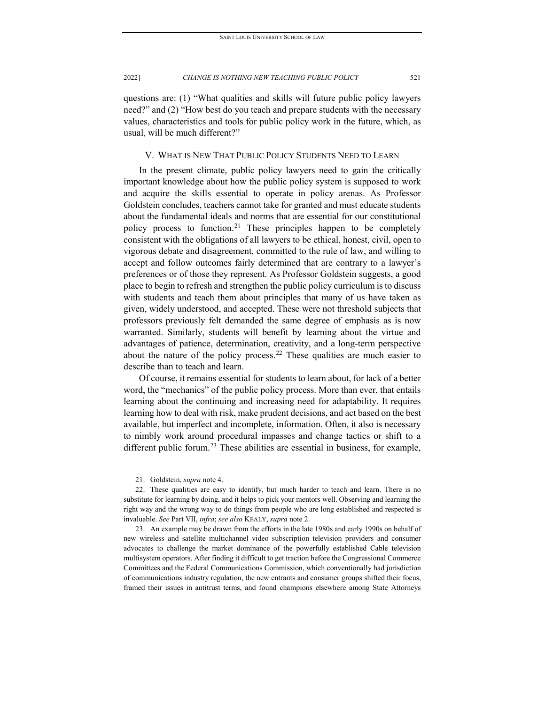questions are: (1) "What qualities and skills will future public policy lawyers need?" and (2) "How best do you teach and prepare students with the necessary values, characteristics and tools for public policy work in the future, which, as usual, will be much different?"

### V. WHAT IS NEW THAT PUBLIC POLICY STUDENTS NEED TO LEARN

In the present climate, public policy lawyers need to gain the critically important knowledge about how the public policy system is supposed to work and acquire the skills essential to operate in policy arenas. As Professor Goldstein concludes, teachers cannot take for granted and must educate students about the fundamental ideals and norms that are essential for our constitutional policy process to function.[21](#page-11-0) These principles happen to be completely consistent with the obligations of all lawyers to be ethical, honest, civil, open to vigorous debate and disagreement, committed to the rule of law, and willing to accept and follow outcomes fairly determined that are contrary to a lawyer's preferences or of those they represent. As Professor Goldstein suggests, a good place to begin to refresh and strengthen the public policy curriculum is to discuss with students and teach them about principles that many of us have taken as given, widely understood, and accepted. These were not threshold subjects that professors previously felt demanded the same degree of emphasis as is now warranted. Similarly, students will benefit by learning about the virtue and advantages of patience, determination, creativity, and a long-term perspective about the nature of the policy process.<sup>[22](#page-11-1)</sup> These qualities are much easier to describe than to teach and learn.

Of course, it remains essential for students to learn about, for lack of a better word, the "mechanics" of the public policy process. More than ever, that entails learning about the continuing and increasing need for adaptability. It requires learning how to deal with risk, make prudent decisions, and act based on the best available, but imperfect and incomplete, information. Often, it also is necessary to nimbly work around procedural impasses and change tactics or shift to a different public forum.<sup>[23](#page-11-2)</sup> These abilities are essential in business, for example,

<sup>21.</sup> Goldstein, *supra* note 4.

<span id="page-11-1"></span><span id="page-11-0"></span><sup>22.</sup> These qualities are easy to identify, but much harder to teach and learn. There is no substitute for learning by doing, and it helps to pick your mentors well. Observing and learning the right way and the wrong way to do things from people who are long established and respected is invaluable. *See* Part VII, *infra*; *see also* KEALY, *supra* note 2.

<span id="page-11-2"></span><sup>23.</sup> An example may be drawn from the efforts in the late 1980s and early 1990s on behalf of new wireless and satellite multichannel video subscription television providers and consumer advocates to challenge the market dominance of the powerfully established Cable television multisystem operators. After finding it difficult to get traction before the Congressional Commerce Committees and the Federal Communications Commission, which conventionally had jurisdiction of communications industry regulation, the new entrants and consumer groups shifted their focus, framed their issues in antitrust terms, and found champions elsewhere among State Attorneys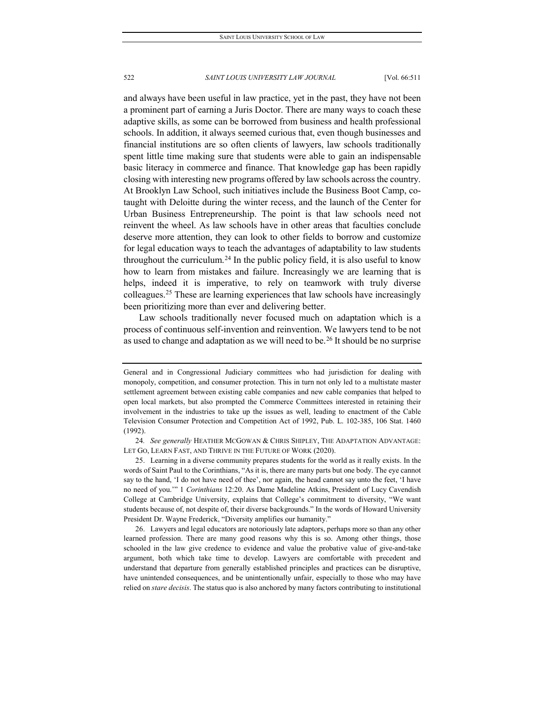and always have been useful in law practice, yet in the past, they have not been a prominent part of earning a Juris Doctor. There are many ways to coach these adaptive skills, as some can be borrowed from business and health professional schools. In addition, it always seemed curious that, even though businesses and financial institutions are so often clients of lawyers, law schools traditionally spent little time making sure that students were able to gain an indispensable basic literacy in commerce and finance. That knowledge gap has been rapidly closing with interesting new programs offered by law schools across the country. At Brooklyn Law School, such initiatives include the Business Boot Camp, cotaught with Deloitte during the winter recess, and the launch of the Center for Urban Business Entrepreneurship. The point is that law schools need not reinvent the wheel. As law schools have in other areas that faculties conclude deserve more attention, they can look to other fields to borrow and customize for legal education ways to teach the advantages of adaptability to law students throughout the curriculum.<sup>[24](#page-12-0)</sup> In the public policy field, it is also useful to know how to learn from mistakes and failure. Increasingly we are learning that is helps, indeed it is imperative, to rely on teamwork with truly diverse colleagues.[25](#page-12-1) These are learning experiences that law schools have increasingly been prioritizing more than ever and delivering better.

Law schools traditionally never focused much on adaptation which is a process of continuous self-invention and reinvention. We lawyers tend to be not as used to change and adaptation as we will need to be.<sup>[26](#page-12-2)</sup> It should be no surprise

<span id="page-12-2"></span>26. Lawyers and legal educators are notoriously late adaptors, perhaps more so than any other learned profession. There are many good reasons why this is so. Among other things, those schooled in the law give credence to evidence and value the probative value of give-and-take argument, both which take time to develop. Lawyers are comfortable with precedent and understand that departure from generally established principles and practices can be disruptive, have unintended consequences, and be unintentionally unfair, especially to those who may have relied on *stare decisis*. The status quo is also anchored by many factors contributing to institutional

General and in Congressional Judiciary committees who had jurisdiction for dealing with monopoly, competition, and consumer protection. This in turn not only led to a multistate master settlement agreement between existing cable companies and new cable companies that helped to open local markets, but also prompted the Commerce Committees interested in retaining their involvement in the industries to take up the issues as well, leading to enactment of the Cable Television Consumer Protection and Competition Act of 1992, Pub. L. 102-385, 106 Stat. 1460 (1992).

<span id="page-12-0"></span><sup>24</sup>*. See generally* HEATHER MCGOWAN & CHRIS SHIPLEY, THE ADAPTATION ADVANTAGE: LET GO, LEARN FAST, AND THRIVE IN THE FUTURE OF WORK (2020).

<span id="page-12-1"></span><sup>25.</sup> Learning in a diverse community prepares students for the world as it really exists. In the words of Saint Paul to the Corinthians, "As it is, there are many parts but one body. The eye cannot say to the hand, 'I do not have need of thee', nor again, the head cannot say unto the feet, 'I have no need of you.'" 1 *Corinthians* 12:20. As Dame Madeline Atkins, President of Lucy Cavendish College at Cambridge University, explains that College's commitment to diversity, "We want students because of, not despite of, their diverse backgrounds." In the words of Howard University President Dr. Wayne Frederick, "Diversity amplifies our humanity."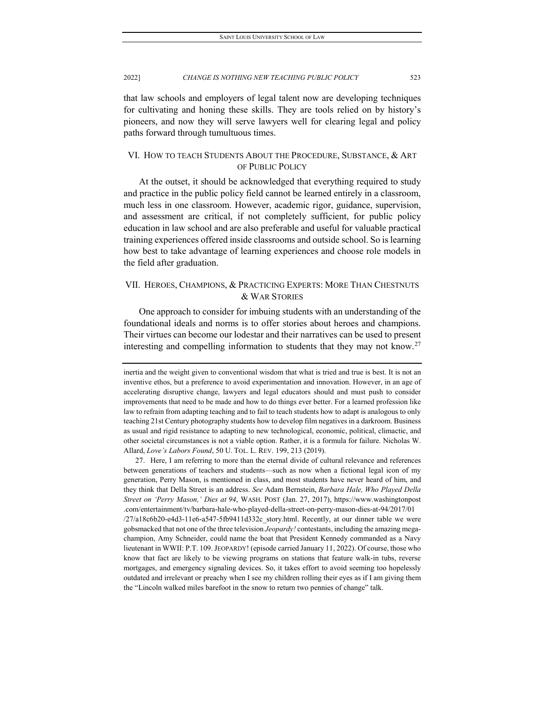that law schools and employers of legal talent now are developing techniques for cultivating and honing these skills. They are tools relied on by history's pioneers, and now they will serve lawyers well for clearing legal and policy paths forward through tumultuous times.

# VI. HOW TO TEACH STUDENTS ABOUT THE PROCEDURE, SUBSTANCE, & ART OF PUBLIC POLICY

At the outset, it should be acknowledged that everything required to study and practice in the public policy field cannot be learned entirely in a classroom, much less in one classroom. However, academic rigor, guidance, supervision, and assessment are critical, if not completely sufficient, for public policy education in law school and are also preferable and useful for valuable practical training experiences offered inside classrooms and outside school. So is learning how best to take advantage of learning experiences and choose role models in the field after graduation.

# VII. HEROES, CHAMPIONS, & PRACTICING EXPERTS: MORE THAN CHESTNUTS & WAR STORIES

One approach to consider for imbuing students with an understanding of the foundational ideals and norms is to offer stories about heroes and champions. Their virtues can become our lodestar and their narratives can be used to present interesting and compelling information to students that they may not know.<sup>[27](#page-13-0)</sup>

<span id="page-13-0"></span>27. Here, I am referring to more than the eternal divide of cultural relevance and references between generations of teachers and students—such as now when a fictional legal icon of my generation, Perry Mason, is mentioned in class, and most students have never heard of him, and they think that Della Street is an address. *See* Adam Bernstein, *Barbara Hale, Who Played Della Street on 'Perry Mason,' Dies at 94*, WASH. POST (Jan. 27, 2017), https://www.washingtonpost .com/entertainment/tv/barbara-hale-who-played-della-street-on-perry-mason-dies-at-94/2017/01 /27/a18c6b20-e4d3-11e6-a547-5fb9411d332c\_story.html. Recently, at our dinner table we were gobsmacked that not one of the three television *Jeopardy!* contestants, including the amazing megachampion, Amy Schneider, could name the boat that President Kennedy commanded as a Navy lieutenant in WWII: P.T. 109. JEOPARDY! (episode carried January 11, 2022). Of course, those who know that fact are likely to be viewing programs on stations that feature walk-in tubs, reverse mortgages, and emergency signaling devices. So, it takes effort to avoid seeming too hopelessly outdated and irrelevant or preachy when I see my children rolling their eyes as if I am giving them the "Lincoln walked miles barefoot in the snow to return two pennies of change" talk.

inertia and the weight given to conventional wisdom that what is tried and true is best. It is not an inventive ethos, but a preference to avoid experimentation and innovation. However, in an age of accelerating disruptive change, lawyers and legal educators should and must push to consider improvements that need to be made and how to do things ever better. For a learned profession like law to refrain from adapting teaching and to fail to teach students how to adapt is analogous to only teaching 21st Century photography students how to develop film negatives in a darkroom. Business as usual and rigid resistance to adapting to new technological, economic, political, climactic, and other societal circumstances is not a viable option. Rather, it is a formula for failure. Nicholas W. Allard, *Love's Labors Found*, 50 U. TOL. L. REV. 199, 213 (2019).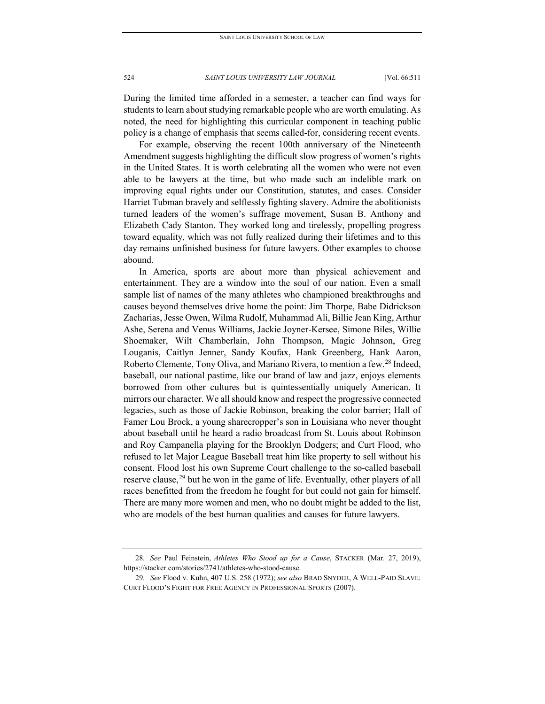During the limited time afforded in a semester, a teacher can find ways for students to learn about studying remarkable people who are worth emulating. As noted, the need for highlighting this curricular component in teaching public policy is a change of emphasis that seems called-for, considering recent events.

For example, observing the recent 100th anniversary of the Nineteenth Amendment suggests highlighting the difficult slow progress of women's rights in the United States. It is worth celebrating all the women who were not even able to be lawyers at the time, but who made such an indelible mark on improving equal rights under our Constitution, statutes, and cases. Consider Harriet Tubman bravely and selflessly fighting slavery. Admire the abolitionists turned leaders of the women's suffrage movement, Susan B. Anthony and Elizabeth Cady Stanton. They worked long and tirelessly, propelling progress toward equality, which was not fully realized during their lifetimes and to this day remains unfinished business for future lawyers. Other examples to choose abound.

In America, sports are about more than physical achievement and entertainment. They are a window into the soul of our nation. Even a small sample list of names of the many athletes who championed breakthroughs and causes beyond themselves drive home the point: Jim Thorpe, Babe Didrickson Zacharias, Jesse Owen, Wilma Rudolf, Muhammad Ali, Billie Jean King, Arthur Ashe, Serena and Venus Williams, Jackie Joyner-Kersee, Simone Biles, Willie Shoemaker, Wilt Chamberlain, John Thompson, Magic Johnson, Greg Louganis, Caitlyn Jenner, Sandy Koufax, Hank Greenberg, Hank Aaron, Roberto Clemente, Tony Oliva, and Mariano Rivera, to mention a few.<sup>[28](#page-14-0)</sup> Indeed, baseball, our national pastime, like our brand of law and jazz, enjoys elements borrowed from other cultures but is quintessentially uniquely American. It mirrors our character. We all should know and respect the progressive connected legacies, such as those of Jackie Robinson, breaking the color barrier; Hall of Famer Lou Brock, a young sharecropper's son in Louisiana who never thought about baseball until he heard a radio broadcast from St. Louis about Robinson and Roy Campanella playing for the Brooklyn Dodgers; and Curt Flood, who refused to let Major League Baseball treat him like property to sell without his consent. Flood lost his own Supreme Court challenge to the so-called baseball reserve clause,<sup>[29](#page-14-1)</sup> but he won in the game of life. Eventually, other players of all races benefitted from the freedom he fought for but could not gain for himself. There are many more women and men, who no doubt might be added to the list, who are models of the best human qualities and causes for future lawyers.

<span id="page-14-0"></span><sup>28</sup>*. See* Paul Feinstein, *Athletes Who Stood up for a Cause*, STACKER (Mar. 27, 2019), https://stacker.com/stories/2741/athletes-who-stood-cause.

<span id="page-14-1"></span><sup>29</sup>*. See* Flood v. Kuhn, 407 U.S. 258 (1972); *see also* BRAD SNYDER, A WELL-PAID SLAVE: CURT FLOOD'S FIGHT FOR FREE AGENCY IN PROFESSIONAL SPORTS (2007).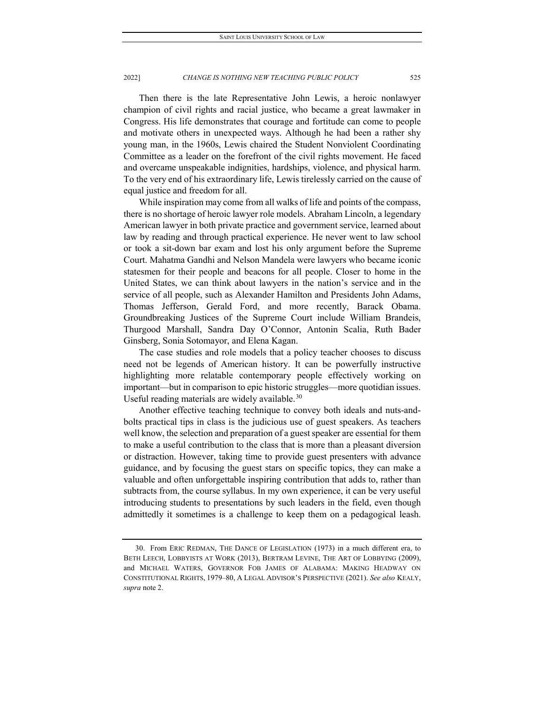Then there is the late Representative John Lewis, a heroic nonlawyer champion of civil rights and racial justice, who became a great lawmaker in Congress. His life demonstrates that courage and fortitude can come to people and motivate others in unexpected ways. Although he had been a rather shy young man, in the 1960s, Lewis chaired the Student Nonviolent Coordinating Committee as a leader on the forefront of the civil rights movement. He faced and overcame unspeakable indignities, hardships, violence, and physical harm. To the very end of his extraordinary life, Lewis tirelessly carried on the cause of equal justice and freedom for all.

While inspiration may come from all walks of life and points of the compass, there is no shortage of heroic lawyer role models. Abraham Lincoln, a legendary American lawyer in both private practice and government service, learned about law by reading and through practical experience. He never went to law school or took a sit-down bar exam and lost his only argument before the Supreme Court. Mahatma Gandhi and Nelson Mandela were lawyers who became iconic statesmen for their people and beacons for all people. Closer to home in the United States, we can think about lawyers in the nation's service and in the service of all people, such as Alexander Hamilton and Presidents John Adams, Thomas Jefferson, Gerald Ford, and more recently, Barack Obama. Groundbreaking Justices of the Supreme Court include William Brandeis, Thurgood Marshall, Sandra Day O'Connor, Antonin Scalia, Ruth Bader Ginsberg, Sonia Sotomayor, and Elena Kagan.

The case studies and role models that a policy teacher chooses to discuss need not be legends of American history. It can be powerfully instructive highlighting more relatable contemporary people effectively working on important—but in comparison to epic historic struggles—more quotidian issues. Useful reading materials are widely available.  $30$ 

Another effective teaching technique to convey both ideals and nuts-andbolts practical tips in class is the judicious use of guest speakers. As teachers well know, the selection and preparation of a guest speaker are essential for them to make a useful contribution to the class that is more than a pleasant diversion or distraction. However, taking time to provide guest presenters with advance guidance, and by focusing the guest stars on specific topics, they can make a valuable and often unforgettable inspiring contribution that adds to, rather than subtracts from, the course syllabus. In my own experience, it can be very useful introducing students to presentations by such leaders in the field, even though admittedly it sometimes is a challenge to keep them on a pedagogical leash.

<span id="page-15-0"></span><sup>30.</sup> From ERIC REDMAN, THE DANCE OF LEGISLATION (1973) in a much different era, to BETH LEECH, LOBBYISTS AT WORK (2013), BERTRAM LEVINE, THE ART OF LOBBYING (2009), and MICHAEL WATERS, GOVERNOR FOB JAMES OF ALABAMA: MAKING HEADWAY ON CONSTITUTIONAL RIGHTS, 1979–80, A LEGAL ADVISOR'S PERSPECTIVE (2021). *See also* KEALY, *supra* note 2.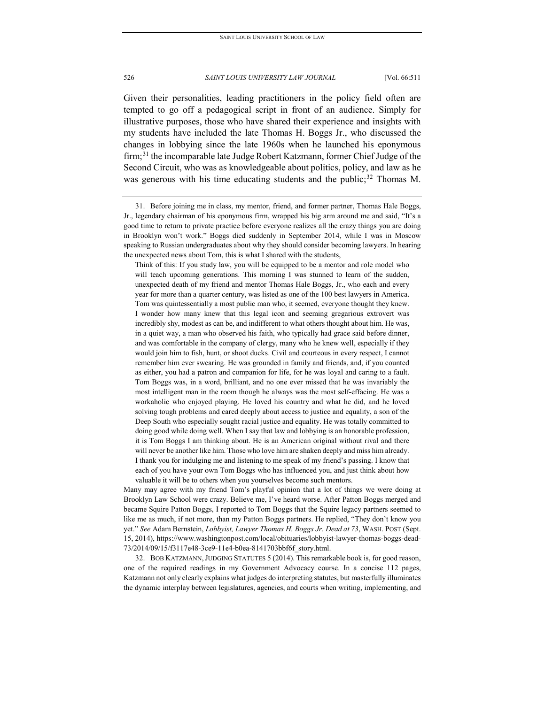Given their personalities, leading practitioners in the policy field often are tempted to go off a pedagogical script in front of an audience. Simply for illustrative purposes, those who have shared their experience and insights with my students have included the late Thomas H. Boggs Jr., who discussed the changes in lobbying since the late 1960s when he launched his eponymous firm;<sup>[31](#page-16-0)</sup> the incomparable late Judge Robert Katzmann, former Chief Judge of the Second Circuit, who was as knowledgeable about politics, policy, and law as he was generous with his time educating students and the public;  $32$  Thomas M.

Think of this: If you study law, you will be equipped to be a mentor and role model who will teach upcoming generations. This morning I was stunned to learn of the sudden, unexpected death of my friend and mentor Thomas Hale Boggs, Jr., who each and every year for more than a quarter century, was listed as one of the 100 best lawyers in America. Tom was quintessentially a most public man who, it seemed, everyone thought they knew. I wonder how many knew that this legal icon and seeming gregarious extrovert was incredibly shy, modest as can be, and indifferent to what others thought about him. He was, in a quiet way, a man who observed his faith, who typically had grace said before dinner, and was comfortable in the company of clergy, many who he knew well, especially if they would join him to fish, hunt, or shoot ducks. Civil and courteous in every respect, I cannot remember him ever swearing. He was grounded in family and friends, and, if you counted as either, you had a patron and companion for life, for he was loyal and caring to a fault. Tom Boggs was, in a word, brilliant, and no one ever missed that he was invariably the most intelligent man in the room though he always was the most self-effacing. He was a workaholic who enjoyed playing. He loved his country and what he did, and he loved solving tough problems and cared deeply about access to justice and equality, a son of the Deep South who especially sought racial justice and equality. He was totally committed to doing good while doing well. When I say that law and lobbying is an honorable profession, it is Tom Boggs I am thinking about. He is an American original without rival and there will never be another like him. Those who love him are shaken deeply and miss him already. I thank you for indulging me and listening to me speak of my friend's passing. I know that each of you have your own Tom Boggs who has influenced you, and just think about how valuable it will be to others when you yourselves become such mentors.

Many may agree with my friend Tom's playful opinion that a lot of things we were doing at Brooklyn Law School were crazy. Believe me, I've heard worse. After Patton Boggs merged and became Squire Patton Boggs, I reported to Tom Boggs that the Squire legacy partners seemed to like me as much, if not more, than my Patton Boggs partners. He replied, "They don't know you yet." *See* Adam Bernstein, *Lobbyist, Lawyer Thomas H. Boggs Jr. Dead at 73*, WASH. POST (Sept. 15, 2014), https://www.washingtonpost.com/local/obituaries/lobbyist-lawyer-thomas-boggs-dead-73/2014/09/15/f3117e48-3ce9-11e4-b0ea-8141703bbf6f\_story.html.

<span id="page-16-1"></span>32. BOB KATZMANN,JUDGING STATUTES 5 (2014). This remarkable book is, for good reason, one of the required readings in my Government Advocacy course. In a concise 112 pages, Katzmann not only clearly explains what judges do interpreting statutes, but masterfully illuminates the dynamic interplay between legislatures, agencies, and courts when writing, implementing, and

<span id="page-16-0"></span><sup>31.</sup> Before joining me in class, my mentor, friend, and former partner, Thomas Hale Boggs, Jr., legendary chairman of his eponymous firm, wrapped his big arm around me and said, "It's a good time to return to private practice before everyone realizes all the crazy things you are doing in Brooklyn won't work." Boggs died suddenly in September 2014, while I was in Moscow speaking to Russian undergraduates about why they should consider becoming lawyers. In hearing the unexpected news about Tom, this is what I shared with the students,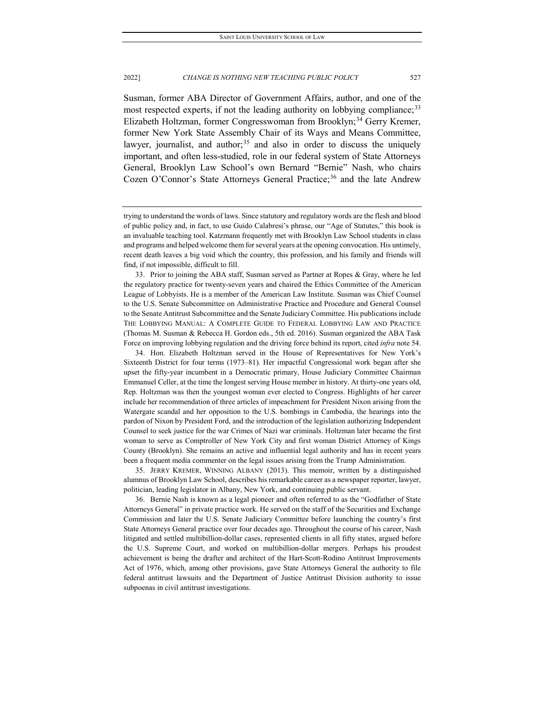Susman, former ABA Director of Government Affairs, author, and one of the most respected experts, if not the leading authority on lobbying compliance:<sup>[33](#page-17-0)</sup> Elizabeth Holtzman, former Congresswoman from Brooklyn;<sup>[34](#page-17-1)</sup> Gerry Kremer, former New York State Assembly Chair of its Ways and Means Committee, lawyer, journalist, and author;<sup>35</sup> and also in order to discuss the uniquely important, and often less-studied, role in our federal system of State Attorneys General, Brooklyn Law School's own Bernard "Bernie" Nash, who chairs Cozen O'Connor's State Attorneys General Practice;<sup>[36](#page-17-3)</sup> and the late Andrew

<span id="page-17-0"></span>33. Prior to joining the ABA staff, Susman served as Partner at Ropes & Gray, where he led the regulatory practice for twenty-seven years and chaired the Ethics Committee of the American League of Lobbyists. He is a member of the American Law Institute. Susman was Chief Counsel to the U.S. Senate Subcommittee on Administrative Practice and Procedure and General Counsel to the Senate Antitrust Subcommittee and the Senate Judiciary Committee. His publications include THE LOBBYING MANUAL: A COMPLETE GUIDE TO FEDERAL LOBBYING LAW AND PRACTICE (Thomas M. Susman & Rebecca H. Gordon eds., 5th ed. 2016). Susman organized the ABA Task Force on improving lobbying regulation and the driving force behind its report, cited *infra* note 54.

<span id="page-17-1"></span>34. Hon. Elizabeth Holtzman served in the House of Representatives for New York's Sixteenth District for four terms (1973–81). Her impactful Congressional work began after she upset the fifty-year incumbent in a Democratic primary, House Judiciary Committee Chairman Emmanuel Celler, at the time the longest serving House member in history. At thirty-one years old, Rep. Holtzman was then the youngest woman ever elected to Congress. Highlights of her career include her recommendation of three articles of impeachment for President Nixon arising from the Watergate scandal and her opposition to the U.S. bombings in Cambodia, the hearings into the pardon of Nixon by President Ford, and the introduction of the legislation authorizing Independent Counsel to seek justice for the war Crimes of Nazi war criminals. Holtzman later became the first woman to serve as Comptroller of New York City and first woman District Attorney of Kings County (Brooklyn). She remains an active and influential legal authority and has in recent years been a frequent media commenter on the legal issues arising from the Trump Administration.

<span id="page-17-2"></span>35. JERRY KREMER, WINNING ALBANY (2013). This memoir, written by a distinguished alumnus of Brooklyn Law School, describes his remarkable career as a newspaper reporter, lawyer, politician, leading legislator in Albany, New York, and continuing public servant.

<span id="page-17-3"></span>36. Bernie Nash is known as a legal pioneer and often referred to as the "Godfather of State Attorneys General" in private practice work. He served on the staff of the Securities and Exchange Commission and later the U.S. Senate Judiciary Committee before launching the country's first State Attorneys General practice over four decades ago. Throughout the course of his career, Nash litigated and settled multibillion-dollar cases, represented clients in all fifty states, argued before the U.S. Supreme Court, and worked on multibillion-dollar mergers. Perhaps his proudest achievement is being the drafter and architect of the Hart-Scott-Rodino Antitrust Improvements Act of 1976, which, among other provisions, gave State Attorneys General the authority to file federal antitrust lawsuits and the Department of Justice Antitrust Division authority to issue subpoenas in civil antitrust investigations.

trying to understand the words of laws. Since statutory and regulatory words are the flesh and blood of public policy and, in fact, to use Guido Calabresi's phrase, our "Age of Statutes," this book is an invaluable teaching tool. Katzmann frequently met with Brooklyn Law School students in class and programs and helped welcome them for several years at the opening convocation. His untimely, recent death leaves a big void which the country, this profession, and his family and friends will find, if not impossible, difficult to fill.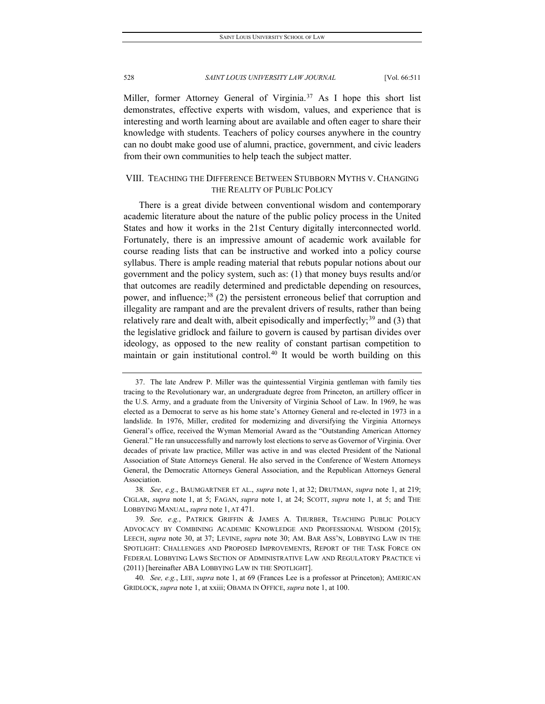Miller, former Attorney General of Virginia.<sup>[37](#page-18-0)</sup> As I hope this short list demonstrates, effective experts with wisdom, values, and experience that is interesting and worth learning about are available and often eager to share their knowledge with students. Teachers of policy courses anywhere in the country can no doubt make good use of alumni, practice, government, and civic leaders from their own communities to help teach the subject matter.

# VIII. TEACHING THE DIFFERENCE BETWEEN STUBBORN MYTHS V. CHANGING THE REALITY OF PUBLIC POLICY

There is a great divide between conventional wisdom and contemporary academic literature about the nature of the public policy process in the United States and how it works in the 21st Century digitally interconnected world. Fortunately, there is an impressive amount of academic work available for course reading lists that can be instructive and worked into a policy course syllabus. There is ample reading material that rebuts popular notions about our government and the policy system, such as: (1) that money buys results and/or that outcomes are readily determined and predictable depending on resources, power, and influence;<sup>[38](#page-18-1)</sup> (2) the persistent erroneous belief that corruption and illegality are rampant and are the prevalent drivers of results, rather than being relatively rare and dealt with, albeit episodically and imperfectly;  $39$  and (3) that the legislative gridlock and failure to govern is caused by partisan divides over ideology, as opposed to the new reality of constant partisan competition to maintain or gain institutional control.<sup>[40](#page-18-3)</sup> It would be worth building on this

<span id="page-18-3"></span>40*. See, e.g.*, LEE, *supra* note 1, at 69 (Frances Lee is a professor at Princeton); AMERICAN GRIDLOCK, *supra* note 1, at xxiii; OBAMA IN OFFICE, *supra* note 1, at 100.

<span id="page-18-0"></span><sup>37.</sup> The late Andrew P. Miller was the quintessential Virginia gentleman with family ties tracing to the Revolutionary war, an undergraduate degree from Princeton, an artillery officer in the U.S. Army, and a graduate from the University of Virginia School of Law. In 1969, he was elected as a Democrat to serve as his home state's Attorney General and re-elected in 1973 in a landslide. In 1976, Miller, credited for modernizing and diversifying the Virginia Attorneys General's office, received the Wyman Memorial Award as the "Outstanding American Attorney General." He ran unsuccessfully and narrowly lost elections to serve as Governor of Virginia. Over decades of private law practice, Miller was active in and was elected President of the National Association of State Attorneys General. He also served in the Conference of Western Attorneys General, the Democratic Attorneys General Association, and the Republican Attorneys General Association.

<span id="page-18-1"></span><sup>38</sup>*. See*, *e.g.*, BAUMGARTNER ET AL., *supra* note 1, at 32; DRUTMAN, *supra* note 1, at 219; CIGLAR, *supra* note 1, at 5; FAGAN, *supra* note 1, at 24; SCOTT, *supra* note 1, at 5; and THE LOBBYING MANUAL, *supra* note 1, AT 471.

<span id="page-18-2"></span><sup>39</sup>*. See, e.g.*, PATRICK GRIFFIN & JAMES A. THURBER, TEACHING PUBLIC POLICY ADVOCACY BY COMBINING ACADEMIC KNOWLEDGE AND PROFESSIONAL WISDOM (2015); LEECH, *supra* note 30, at 37; LEVINE, *supra* note 30; AM. BAR ASS'N, LOBBYING LAW IN THE SPOTLIGHT: CHALLENGES AND PROPOSED IMPROVEMENTS, REPORT OF THE TASK FORCE ON FEDERAL LOBBYING LAWS SECTION OF ADMINISTRATIVE LAW AND REGULATORY PRACTICE vi (2011) [hereinafter ABA LOBBYING LAW IN THE SPOTLIGHT].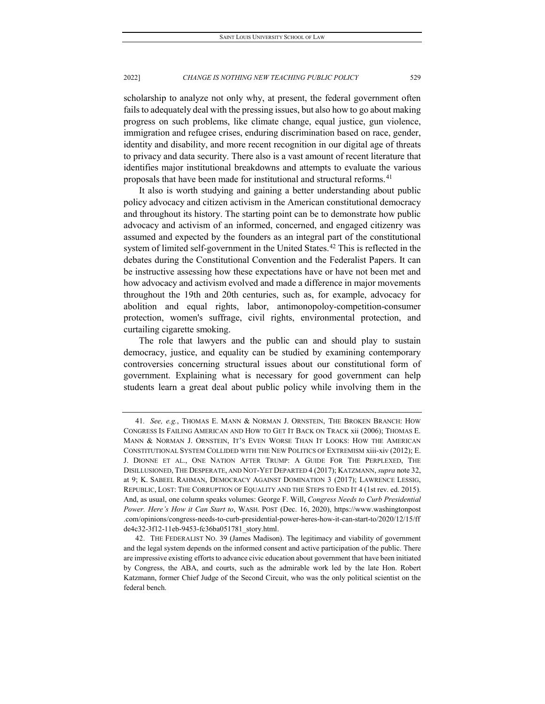scholarship to analyze not only why, at present, the federal government often fails to adequately deal with the pressing issues, but also how to go about making progress on such problems, like climate change, equal justice, gun violence, immigration and refugee crises, enduring discrimination based on race, gender, identity and disability, and more recent recognition in our digital age of threats to privacy and data security. There also is a vast amount of recent literature that identifies major institutional breakdowns and attempts to evaluate the various proposals that have been made for institutional and structural reforms.<sup>[41](#page-19-0)</sup>

It also is worth studying and gaining a better understanding about public policy advocacy and citizen activism in the American constitutional democracy and throughout its history. The starting point can be to demonstrate how public advocacy and activism of an informed, concerned, and engaged citizenry was assumed and expected by the founders as an integral part of the constitutional system of limited self-government in the United States.<sup>[42](#page-19-1)</sup> This is reflected in the debates during the Constitutional Convention and the Federalist Papers. It can be instructive assessing how these expectations have or have not been met and how advocacy and activism evolved and made a difference in major movements throughout the 19th and 20th centuries, such as, for example, advocacy for abolition and equal rights, labor, antimonopoloy-competition-consumer protection, women's suffrage, civil rights, environmental protection, and curtailing cigarette smoking.

The role that lawyers and the public can and should play to sustain democracy, justice, and equality can be studied by examining contemporary controversies concerning structural issues about our constitutional form of government. Explaining what is necessary for good government can help students learn a great deal about public policy while involving them in the

<span id="page-19-0"></span><sup>41</sup>*. See, e.g.*, THOMAS E. MANN & NORMAN J. ORNSTEIN, THE BROKEN BRANCH: HOW CONGRESS IS FAILING AMERICAN AND HOW TO GET IT BACK ON TRACK xii (2006); THOMAS E. MANN & NORMAN J. ORNSTEIN, IT'S EVEN WORSE THAN IT LOOKS: HOW THE AMERICAN CONSTITUTIONAL SYSTEM COLLIDED WITH THE NEW POLITICS OF EXTREMISM xiii-xiv (2012); E. J. DIONNE ET AL., ONE NATION AFTER TRUMP: A GUIDE FOR THE PERPLEXED, THE DISILLUSIONED, THE DESPERATE, AND NOT-YET DEPARTED 4 (2017); KATZMANN, *supra* note 32, at 9; K. SABEEL RAHMAN, DEMOCRACY AGAINST DOMINATION 3 (2017); LAWRENCE LESSIG, REPUBLIC, LOST: THE CORRUPTION OF EQUALITY AND THE STEPS TO END IT 4 (1st rev. ed. 2015). And, as usual, one column speaks volumes: George F. Will, *Congress Needs to Curb Presidential Power. Here's How it Can Start to*, WASH. POST (Dec. 16, 2020), https://www.washingtonpost .com/opinions/congress-needs-to-curb-presidential-power-heres-how-it-can-start-to/2020/12/15/ff de4c32-3f12-11eb-9453-fc36ba051781\_story.html.

<span id="page-19-1"></span><sup>42.</sup> THE FEDERALIST NO. 39 (James Madison). The legitimacy and viability of government and the legal system depends on the informed consent and active participation of the public. There are impressive existing efforts to advance civic education about government that have been initiated by Congress, the ABA, and courts, such as the admirable work led by the late Hon. Robert Katzmann, former Chief Judge of the Second Circuit, who was the only political scientist on the federal bench.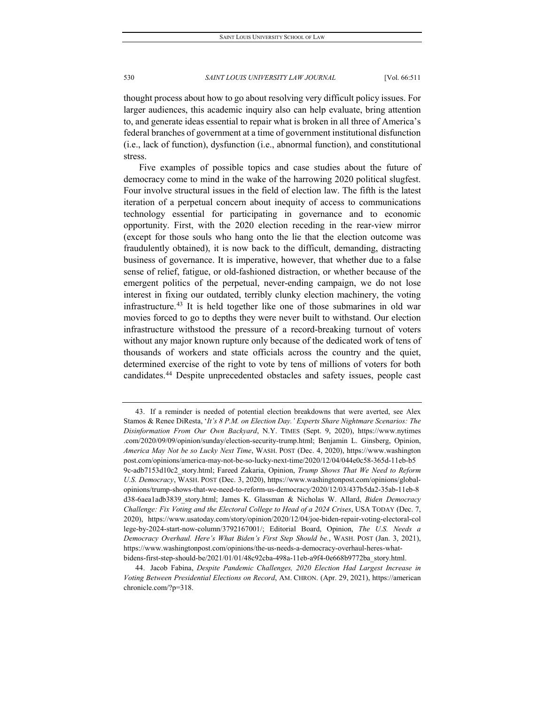thought process about how to go about resolving very difficult policy issues. For larger audiences, this academic inquiry also can help evaluate, bring attention to, and generate ideas essential to repair what is broken in all three of America's federal branches of government at a time of government institutional disfunction (i.e., lack of function), dysfunction (i.e., abnormal function), and constitutional stress.

Five examples of possible topics and case studies about the future of democracy come to mind in the wake of the harrowing 2020 political slugfest. Four involve structural issues in the field of election law. The fifth is the latest iteration of a perpetual concern about inequity of access to communications technology essential for participating in governance and to economic opportunity. First, with the 2020 election receding in the rear-view mirror (except for those souls who hang onto the lie that the election outcome was fraudulently obtained), it is now back to the difficult, demanding, distracting business of governance. It is imperative, however, that whether due to a false sense of relief, fatigue, or old-fashioned distraction, or whether because of the emergent politics of the perpetual, never-ending campaign, we do not lose interest in fixing our outdated, terribly clunky election machinery, the voting infrastructure.[43](#page-20-0) It is held together like one of those submarines in old war movies forced to go to depths they were never built to withstand. Our election infrastructure withstood the pressure of a record-breaking turnout of voters without any major known rupture only because of the dedicated work of tens of thousands of workers and state officials across the country and the quiet, determined exercise of the right to vote by tens of millions of voters for both candidates.[44](#page-20-1) Despite unprecedented obstacles and safety issues, people cast

<span id="page-20-0"></span><sup>43.</sup> If a reminder is needed of potential election breakdowns that were averted, see Alex Stamos & Renee DiResta, '*It's 8 P.M. on Election Day.' Experts Share Nightmare Scenarios: The Disinformation From Our Own Backyard*, N.Y. TIMES (Sept. 9, 2020), https://www.nytimes .com/2020/09/09/opinion/sunday/election-security-trump.html; Benjamin L. Ginsberg, Opinion, *America May Not be so Lucky Next Time*, WASH. POST (Dec. 4, 2020), https://www.washington post.com/opinions/america-may-not-be-so-lucky-next-time/2020/12/04/044e0c58-365d-11eb-b5 9c-adb7153d10c2\_story.html; Fareed Zakaria, Opinion, *Trump Shows That We Need to Reform U.S. Democracy*, WASH. POST (Dec. 3, 2020), https://www.washingtonpost.com/opinions/globalopinions/trump-shows-that-we-need-to-reform-us-democracy/2020/12/03/437b5da2-35ab-11eb-8 d38-6aea1adb3839\_story.html; James K. Glassman & Nicholas W. Allard, *Biden Democracy Challenge: Fix Voting and the Electoral College to Head of a 2024 Crises*, USA TODAY (Dec. 7, 2020), https://www.usatoday.com/story/opinion/2020/12/04/joe-biden-repair-voting-electoral-col lege-by-2024-start-now-column/3792167001/; Editorial Board, Opinion, *The U.S. Needs a Democracy Overhaul. Here's What Biden's First Step Should be.*, WASH. POST (Jan. 3, 2021), https://www.washingtonpost.com/opinions/the-us-needs-a-democracy-overhaul-heres-whatbidens-first-step-should-be/2021/01/01/48c92cba-498a-11eb-a9f4-0e668b9772ba\_story.html.

<span id="page-20-1"></span><sup>44.</sup> Jacob Fabina, *Despite Pandemic Challenges, 2020 Election Had Largest Increase in Voting Between Presidential Elections on Record*, AM. CHRON. (Apr. 29, 2021), https://american chronicle.com/?p=318.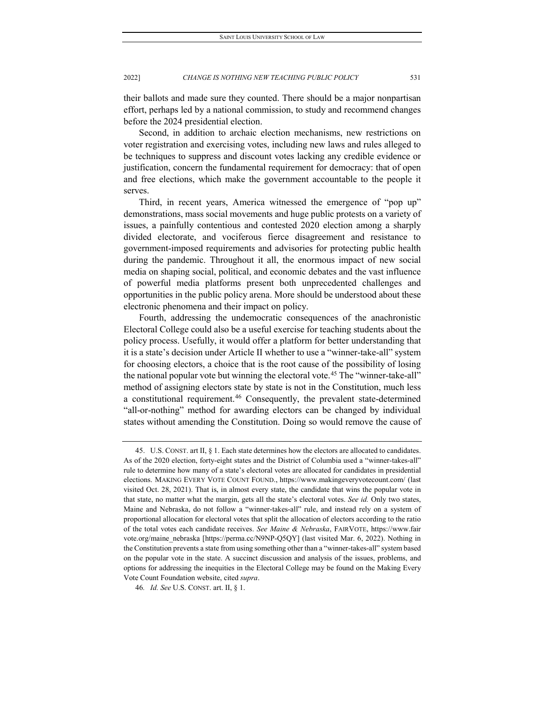their ballots and made sure they counted. There should be a major nonpartisan effort, perhaps led by a national commission, to study and recommend changes before the 2024 presidential election.

Second, in addition to archaic election mechanisms, new restrictions on voter registration and exercising votes, including new laws and rules alleged to be techniques to suppress and discount votes lacking any credible evidence or justification, concern the fundamental requirement for democracy: that of open and free elections, which make the government accountable to the people it serves.

Third, in recent years, America witnessed the emergence of "pop up" demonstrations, mass social movements and huge public protests on a variety of issues, a painfully contentious and contested 2020 election among a sharply divided electorate, and vociferous fierce disagreement and resistance to government-imposed requirements and advisories for protecting public health during the pandemic. Throughout it all, the enormous impact of new social media on shaping social, political, and economic debates and the vast influence of powerful media platforms present both unprecedented challenges and opportunities in the public policy arena. More should be understood about these electronic phenomena and their impact on policy.

Fourth, addressing the undemocratic consequences of the anachronistic Electoral College could also be a useful exercise for teaching students about the policy process. Usefully, it would offer a platform for better understanding that it is a state's decision under Article II whether to use a "winner-take-all" system for choosing electors, a choice that is the root cause of the possibility of losing the national popular vote but winning the electoral vote.<sup>[45](#page-21-0)</sup> The "winner-take-all" method of assigning electors state by state is not in the Constitution, much less a constitutional requirement.[46](#page-21-1) Consequently, the prevalent state-determined "all-or-nothing" method for awarding electors can be changed by individual states without amending the Constitution. Doing so would remove the cause of

<span id="page-21-0"></span><sup>45.</sup> U.S. CONST. art II, § 1. Each state determines how the electors are allocated to candidates. As of the 2020 election, forty-eight states and the District of Columbia used a "winner-takes-all" rule to determine how many of a state's electoral votes are allocated for candidates in presidential elections. MAKING EVERY VOTE COUNT FOUND., https://www.makingeveryvotecount.com/ (last visited Oct. 28, 2021). That is, in almost every state, the candidate that wins the popular vote in that state, no matter what the margin, gets all the state's electoral votes. *See id.* Only two states, Maine and Nebraska, do not follow a "winner-takes-all" rule, and instead rely on a system of proportional allocation for electoral votes that split the allocation of electors according to the ratio of the total votes each candidate receives. *See Maine & Nebraska*, FAIRVOTE, https://www.fair vote.org/maine\_nebraska [https://perma.cc/N9NP-Q5QY] (last visited Mar. 6, 2022). Nothing in the Constitution prevents a state from using something other than a "winner-takes-all" system based on the popular vote in the state. A succinct discussion and analysis of the issues, problems, and options for addressing the inequities in the Electoral College may be found on the Making Every Vote Count Foundation website, cited *supra*.

<span id="page-21-1"></span><sup>46</sup>*. Id. See* U.S. CONST. art. II, § 1.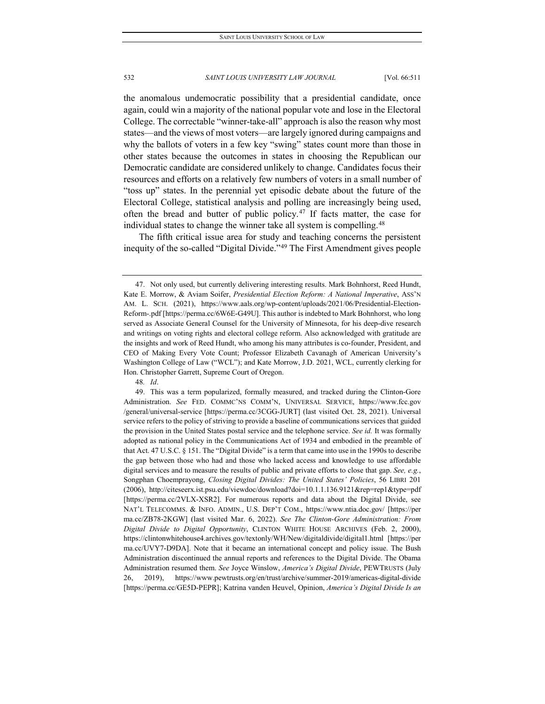the anomalous undemocratic possibility that a presidential candidate, once again, could win a majority of the national popular vote and lose in the Electoral College. The correctable "winner-take-all" approach is also the reason why most states—and the views of most voters—are largely ignored during campaigns and why the ballots of voters in a few key "swing" states count more than those in other states because the outcomes in states in choosing the Republican our Democratic candidate are considered unlikely to change. Candidates focus their resources and efforts on a relatively few numbers of voters in a small number of "toss up" states. In the perennial yet episodic debate about the future of the Electoral College, statistical analysis and polling are increasingly being used, often the bread and butter of public policy.<sup>[47](#page-22-0)</sup> If facts matter, the case for individual states to change the winner take all system is compelling.<sup>[48](#page-22-1)</sup>

The fifth critical issue area for study and teaching concerns the persistent inequity of the so-called "Digital Divide."[49](#page-22-2) The First Amendment gives people

48*. Id*.

<span id="page-22-0"></span><sup>47.</sup> Not only used, but currently delivering interesting results. Mark Bohnhorst, Reed Hundt, Kate E. Morrow, & Aviam Soifer, *Presidential Election Reform: A National Imperative*, ASS'N AM. L. SCH. (2021), https://www.aals.org/wp-content/uploads/2021/06/Presidential-Election-Reform-.pdf [https://perma.cc/6W6E-G49U]. This author is indebted to Mark Bohnhorst, who long served as Associate General Counsel for the University of Minnesota, for his deep-dive research and writings on voting rights and electoral college reform. Also acknowledged with gratitude are the insights and work of Reed Hundt, who among his many attributes is co-founder, President, and CEO of Making Every Vote Count; Professor Elizabeth Cavanagh of American University's Washington College of Law ("WCL"); and Kate Morrow, J.D. 2021, WCL, currently clerking for Hon. Christopher Garrett, Supreme Court of Oregon.

<span id="page-22-2"></span><span id="page-22-1"></span><sup>49.</sup> This was a term popularized, formally measured, and tracked during the Clinton-Gore Administration. *See* FED. COMMC'NS COMM'N, UNIVERSAL SERVICE, https://www.fcc.gov /general/universal-service [https://perma.cc/3CGG-JURT] (last visited Oct. 28, 2021). Universal service refers to the policy of striving to provide a baseline of communications services that guided the provision in the United States postal service and the telephone service. *See id.* It was formally adopted as national policy in the Communications Act of 1934 and embodied in the preamble of that Act. 47 U.S.C. § 151. The "Digital Divide" is a term that came into use in the 1990s to describe the gap between those who had and those who lacked access and knowledge to use affordable digital services and to measure the results of public and private efforts to close that gap. *See, e.g.*, Songphan Choemprayong, *Closing Digital Divides: The United States' Policies*, 56 LIBRI 201 (2006), http://citeseerx.ist.psu.edu/viewdoc/download?doi=10.1.1.136.9121&rep=rep1&type=pdf [https://perma.cc/2VLX-XSR2]. For numerous reports and data about the Digital Divide, see NAT'L TELECOMMS. & INFO. ADMIN., U.S. DEP'T COM., https://www.ntia.doc.gov/ [https://per ma.cc/ZB78-2KGW] (last visited Mar. 6, 2022). *See The Clinton-Gore Administration: From Digital Divide to Digital Opportunity*, CLINTON WHITE HOUSE ARCHIVES (Feb. 2, 2000), https://clintonwhitehouse4.archives.gov/textonly/WH/New/digitaldivide/digital1.html [https://per ma.cc/UVY7-D9DA]. Note that it became an international concept and policy issue. The Bush Administration discontinued the annual reports and references to the Digital Divide. The Obama Administration resumed them. *See* Joyce Winslow, *America's Digital Divide*, PEWTRUSTS (July 26, 2019), https://www.pewtrusts.org/en/trust/archive/summer-2019/americas-digital-divide [https://perma.cc/GE5D-PEPR]; Katrina vanden Heuvel, Opinion, *America's Digital Divide Is an*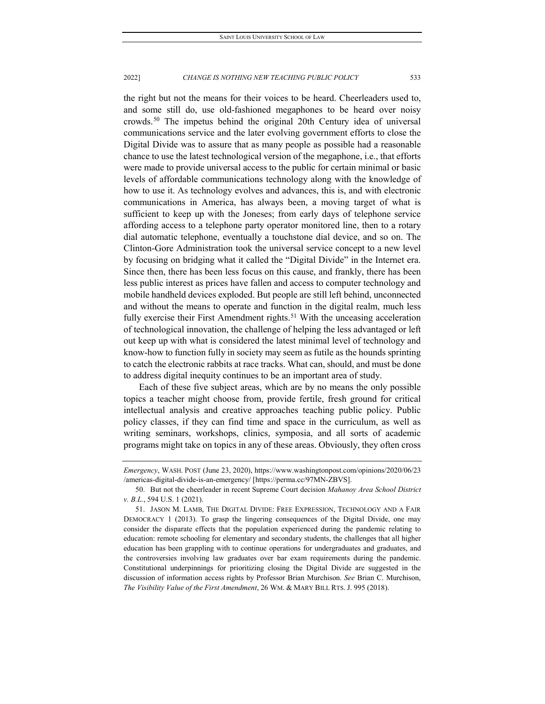the right but not the means for their voices to be heard. Cheerleaders used to, and some still do, use old-fashioned megaphones to be heard over noisy crowds.[50](#page-23-0) The impetus behind the original 20th Century idea of universal communications service and the later evolving government efforts to close the Digital Divide was to assure that as many people as possible had a reasonable chance to use the latest technological version of the megaphone, i.e., that efforts were made to provide universal access to the public for certain minimal or basic levels of affordable communications technology along with the knowledge of how to use it. As technology evolves and advances, this is, and with electronic communications in America, has always been, a moving target of what is sufficient to keep up with the Joneses; from early days of telephone service affording access to a telephone party operator monitored line, then to a rotary dial automatic telephone, eventually a touchstone dial device, and so on. The Clinton-Gore Administration took the universal service concept to a new level by focusing on bridging what it called the "Digital Divide" in the Internet era. Since then, there has been less focus on this cause, and frankly, there has been less public interest as prices have fallen and access to computer technology and mobile handheld devices exploded. But people are still left behind, unconnected and without the means to operate and function in the digital realm, much less fully exercise their First Amendment rights.<sup>[51](#page-23-1)</sup> With the unceasing acceleration of technological innovation, the challenge of helping the less advantaged or left out keep up with what is considered the latest minimal level of technology and know-how to function fully in society may seem as futile as the hounds sprinting to catch the electronic rabbits at race tracks. What can, should, and must be done to address digital inequity continues to be an important area of study.

Each of these five subject areas, which are by no means the only possible topics a teacher might choose from, provide fertile, fresh ground for critical intellectual analysis and creative approaches teaching public policy. Public policy classes, if they can find time and space in the curriculum, as well as writing seminars, workshops, clinics, symposia, and all sorts of academic programs might take on topics in any of these areas. Obviously, they often cross

*Emergency*, WASH. POST (June 23, 2020), https://www.washingtonpost.com/opinions/2020/06/23 /americas-digital-divide-is-an-emergency/ [https://perma.cc/97MN-ZBVS].

<span id="page-23-0"></span><sup>50.</sup> But not the cheerleader in recent Supreme Court decision *Mahanoy Area School District v. B.L.*, 594 U.S. 1 (2021).

<span id="page-23-1"></span><sup>51.</sup> JASON M. LAMB, THE DIGITAL DIVIDE: FREE EXPRESSION, TECHNOLOGY AND A FAIR DEMOCRACY 1 (2013). To grasp the lingering consequences of the Digital Divide, one may consider the disparate effects that the population experienced during the pandemic relating to education: remote schooling for elementary and secondary students, the challenges that all higher education has been grappling with to continue operations for undergraduates and graduates, and the controversies involving law graduates over bar exam requirements during the pandemic. Constitutional underpinnings for prioritizing closing the Digital Divide are suggested in the discussion of information access rights by Professor Brian Murchison. *See* Brian C. Murchison, *The Visibility Value of the First Amendment*, 26 WM. & MARY BILL RTS. J. 995 (2018).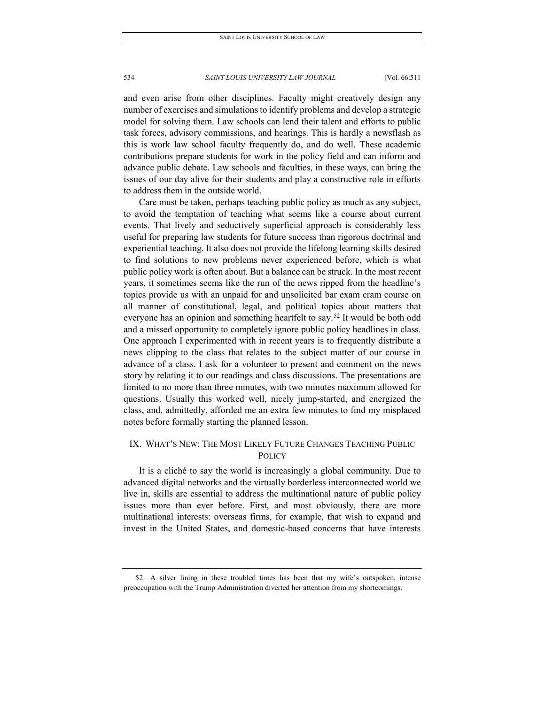and even arise from other disciplines. Faculty might creatively design any number of exercises and simulations to identify problems and develop a strategic model for solving them. Law schools can lend their talent and efforts to public task forces, advisory commissions, and hearings. This is hardly a newsflash as this is work law school faculty frequently do, and do well. These academic contributions prepare students for work in the policy field and can inform and advance public debate. Law schools and faculties, in these ways, can bring the issues of our day alive for their students and play a constructive role in efforts to address them in the outside world.

Care must be taken, perhaps teaching public policy as much as any subject, to avoid the temptation of teaching what seems like a course about current events. That lively and seductively superficial approach is considerably less useful for preparing law students for future success than rigorous doctrinal and experiential teaching. It also does not provide the lifelong learning skills desired to find solutions to new problems never experienced before, which is what public policy work is often about. But a balance can be struck. In the most recent years, it sometimes seems like the run of the news ripped from the headline's topics provide us with an unpaid for and unsolicited bar exam cram course on all manner of constitutional, legal, and political topics about matters that everyone has an opinion and something heartfelt to say.<sup>[52](#page-24-0)</sup> It would be both odd and a missed opportunity to completely ignore public policy headlines in class. One approach I experimented with in recent years is to frequently distribute a news clipping to the class that relates to the subject matter of our course in advance of a class. I ask for a volunteer to present and comment on the news story by relating it to our readings and class discussions. The presentations are limited to no more than three minutes, with two minutes maximum allowed for questions. Usually this worked well, nicely jump-started, and energized the class, and, admittedly, afforded me an extra few minutes to find my misplaced notes before formally starting the planned lesson.

# IX. WHAT'S NEW: THE MOST LIKELY FUTURE CHANGES TEACHING PUBLIC **POLICY**

It is a cliché to say the world is increasingly a global community. Due to advanced digital networks and the virtually borderless interconnected world we live in, skills are essential to address the multinational nature of public policy issues more than ever before. First, and most obviously, there are more multinational interests: overseas firms, for example, that wish to expand and invest in the United States, and domestic-based concerns that have interests

<span id="page-24-0"></span><sup>52.</sup> A silver lining in these troubled times has been that my wife's outspoken, intense preoccupation with the Trump Administration diverted her attention from my shortcomings.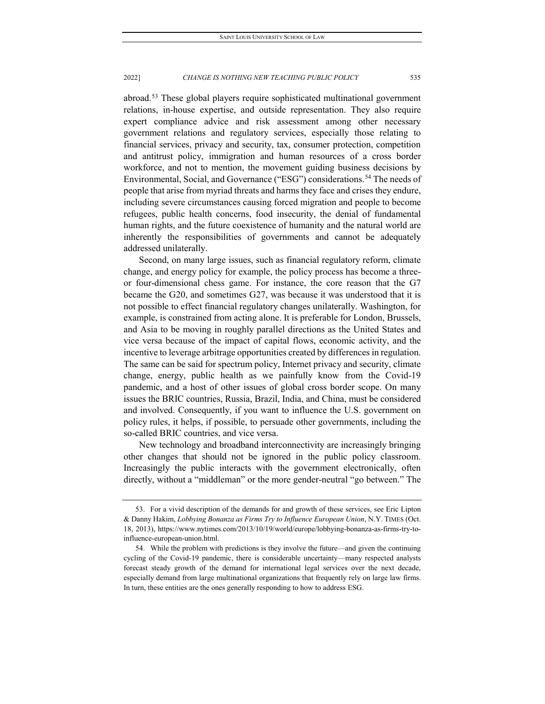abroad.<sup>[53](#page-25-0)</sup> These global players require sophisticated multinational government relations, in-house expertise, and outside representation. They also require expert compliance advice and risk assessment among other necessary government relations and regulatory services, especially those relating to financial services, privacy and security, tax, consumer protection, competition and antitrust policy, immigration and human resources of a cross border workforce, and not to mention, the movement guiding business decisions by Environmental, Social, and Governance ("ESG") considerations.<sup>[54](#page-25-1)</sup> The needs of people that arise from myriad threats and harms they face and crises they endure, including severe circumstances causing forced migration and people to become refugees, public health concerns, food insecurity, the denial of fundamental human rights, and the future coexistence of humanity and the natural world are inherently the responsibilities of governments and cannot be adequately addressed unilaterally.

Second, on many large issues, such as financial regulatory reform, climate change, and energy policy for example, the policy process has become a threeor four-dimensional chess game. For instance, the core reason that the G7 became the G20, and sometimes G27, was because it was understood that it is not possible to effect financial regulatory changes unilaterally. Washington, for example, is constrained from acting alone. It is preferable for London, Brussels, and Asia to be moving in roughly parallel directions as the United States and vice versa because of the impact of capital flows, economic activity, and the incentive to leverage arbitrage opportunities created by differences in regulation. The same can be said for spectrum policy, Internet privacy and security, climate change, energy, public health as we painfully know from the Covid-19 pandemic, and a host of other issues of global cross border scope. On many issues the BRIC countries, Russia, Brazil, India, and China, must be considered and involved. Consequently, if you want to influence the U.S. government on policy rules, it helps, if possible, to persuade other governments, including the so-called BRIC countries, and vice versa.

New technology and broadband interconnectivity are increasingly bringing other changes that should not be ignored in the public policy classroom. Increasingly the public interacts with the government electronically, often directly, without a "middleman" or the more gender-neutral "go between." The

<span id="page-25-0"></span><sup>53.</sup> For a vivid description of the demands for and growth of these services, see Eric Lipton & Danny Hakim, *Lobbying Bonanza as Firms Try to Influence European Union*, N.Y. TIMES (Oct. 18, 2013), https://www.nytimes.com/2013/10/19/world/europe/lobbying-bonanza-as-firms-try-toinfluence-european-union.html.

<span id="page-25-1"></span><sup>54.</sup> While the problem with predictions is they involve the future—and given the continuing cycling of the Covid-19 pandemic, there is considerable uncertainty—many respected analysts forecast steady growth of the demand for international legal services over the next decade, especially demand from large multinational organizations that frequently rely on large law firms. In turn, these entities are the ones generally responding to how to address ESG.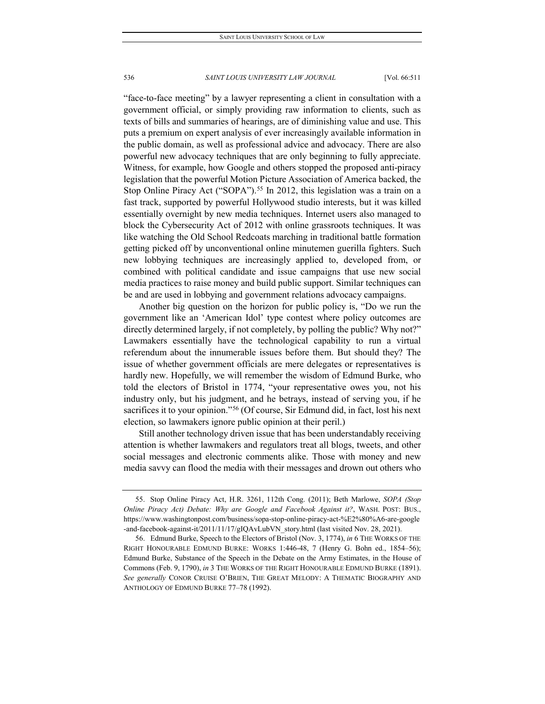"face-to-face meeting" by a lawyer representing a client in consultation with a government official, or simply providing raw information to clients, such as texts of bills and summaries of hearings, are of diminishing value and use. This puts a premium on expert analysis of ever increasingly available information in the public domain, as well as professional advice and advocacy. There are also powerful new advocacy techniques that are only beginning to fully appreciate. Witness, for example, how Google and others stopped the proposed anti-piracy legislation that the powerful Motion Picture Association of America backed, the Stop Online Piracy Act ("SOPA").<sup>[55](#page-26-0)</sup> In 2012, this legislation was a train on a fast track, supported by powerful Hollywood studio interests, but it was killed essentially overnight by new media techniques. Internet users also managed to block the Cybersecurity Act of 2012 with online grassroots techniques. It was like watching the Old School Redcoats marching in traditional battle formation getting picked off by unconventional online minutemen guerilla fighters. Such new lobbying techniques are increasingly applied to, developed from, or combined with political candidate and issue campaigns that use new social media practices to raise money and build public support. Similar techniques can be and are used in lobbying and government relations advocacy campaigns.

Another big question on the horizon for public policy is, "Do we run the government like an 'American Idol' type contest where policy outcomes are directly determined largely, if not completely, by polling the public? Why not?" Lawmakers essentially have the technological capability to run a virtual referendum about the innumerable issues before them. But should they? The issue of whether government officials are mere delegates or representatives is hardly new. Hopefully, we will remember the wisdom of Edmund Burke, who told the electors of Bristol in 1774, "your representative owes you, not his industry only, but his judgment, and he betrays, instead of serving you, if he sacrifices it to your opinion."<sup>[56](#page-26-1)</sup> (Of course, Sir Edmund did, in fact, lost his next election, so lawmakers ignore public opinion at their peril.)

Still another technology driven issue that has been understandably receiving attention is whether lawmakers and regulators treat all blogs, tweets, and other social messages and electronic comments alike. Those with money and new media savvy can flood the media with their messages and drown out others who

<span id="page-26-0"></span><sup>55.</sup> Stop Online Piracy Act, H.R. 3261, 112th Cong. (2011); Beth Marlowe, *SOPA (Stop Online Piracy Act) Debate: Why are Google and Facebook Against it?*, WASH. POST: BUS., https://www.washingtonpost.com/business/sopa-stop-online-piracy-act-%E2%80%A6-are-google -and-facebook-against-it/2011/11/17/gIQAvLubVN story.html (last visited Nov. 28, 2021).

<span id="page-26-1"></span><sup>56.</sup> Edmund Burke, Speech to the Electors of Bristol (Nov. 3, 1774), *in* 6 THE WORKS OF THE RIGHT HONOURABLE EDMUND BURKE: WORKS 1:446-48, 7 (Henry G. Bohn ed., 1854–56); Edmund Burke, Substance of the Speech in the Debate on the Army Estimates, in the House of Commons (Feb. 9, 1790), *in* 3 THE WORKS OF THE RIGHT HONOURABLE EDMUND BURKE (1891). *See generally* CONOR CRUISE O'BRIEN, THE GREAT MELODY: A THEMATIC BIOGRAPHY AND ANTHOLOGY OF EDMUND BURKE 77–78 (1992).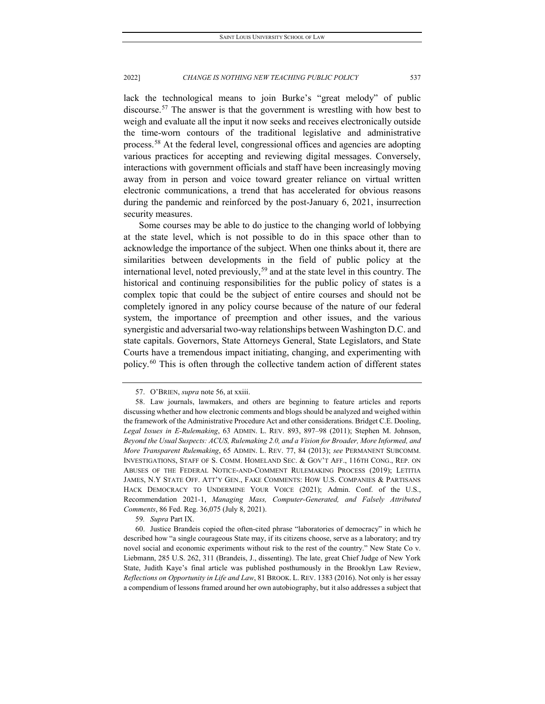lack the technological means to join Burke's "great melody" of public discourse.[57](#page-27-0) The answer is that the government is wrestling with how best to weigh and evaluate all the input it now seeks and receives electronically outside the time-worn contours of the traditional legislative and administrative process.[58](#page-27-1) At the federal level, congressional offices and agencies are adopting various practices for accepting and reviewing digital messages. Conversely, interactions with government officials and staff have been increasingly moving away from in person and voice toward greater reliance on virtual written electronic communications, a trend that has accelerated for obvious reasons during the pandemic and reinforced by the post-January 6, 2021, insurrection security measures.

Some courses may be able to do justice to the changing world of lobbying at the state level, which is not possible to do in this space other than to acknowledge the importance of the subject. When one thinks about it, there are similarities between developments in the field of public policy at the international level, noted previously,<sup>[59](#page-27-2)</sup> and at the state level in this country. The historical and continuing responsibilities for the public policy of states is a complex topic that could be the subject of entire courses and should not be completely ignored in any policy course because of the nature of our federal system, the importance of preemption and other issues, and the various synergistic and adversarial two-way relationships between Washington D.C. and state capitals. Governors, State Attorneys General, State Legislators, and State Courts have a tremendous impact initiating, changing, and experimenting with policy.[60](#page-27-3) This is often through the collective tandem action of different states

59*. Supra* Part IX.

<sup>57.</sup> O'BRIEN, *supra* note 56, at xxiii.

<span id="page-27-1"></span><span id="page-27-0"></span><sup>58.</sup> Law journals, lawmakers, and others are beginning to feature articles and reports discussing whether and how electronic comments and blogs should be analyzed and weighed within the framework of the Administrative Procedure Act and other considerations. Bridget C.E. Dooling, *Legal Issues in E-Rulemaking*, 63 ADMIN. L. REV. 893, 897–98 (2011); Stephen M. Johnson, *Beyond the Usual Suspects: ACUS, Rulemaking 2.0, and a Vision for Broader, More Informed, and More Transparent Rulemaking*, 65 ADMIN. L. REV. 77, 84 (2013); *see* PERMANENT SUBCOMM. INVESTIGATIONS, STAFF OF S. COMM. HOMELAND SEC. & GOV'T AFF., 116TH CONG., REP. ON ABUSES OF THE FEDERAL NOTICE-AND-COMMENT RULEMAKING PROCESS (2019); LETITIA JAMES, N.Y STATE OFF. ATT'Y GEN., FAKE COMMENTS: HOW U.S. COMPANIES & PARTISANS HACK DEMOCRACY TO UNDERMINE YOUR VOICE (2021); Admin. Conf. of the U.S., Recommendation 2021-1, *Managing Mass, Computer-Generated, and Falsely Attributed Comments*, 86 Fed. Reg. 36,075 (July 8, 2021).

<span id="page-27-3"></span><span id="page-27-2"></span><sup>60.</sup> Justice Brandeis copied the often-cited phrase "laboratories of democracy" in which he described how "a single courageous State may, if its citizens choose, serve as a laboratory; and try novel social and economic experiments without risk to the rest of the country." New State Co v. Liebmann, 285 U.S. 262, 311 (Brandeis, J., dissenting). The late, great Chief Judge of New York State, Judith Kaye's final article was published posthumously in the Brooklyn Law Review, *Reflections on Opportunity in Life and Law*, 81 BROOK. L. REV. 1383 (2016). Not only is her essay a compendium of lessons framed around her own autobiography, but it also addresses a subject that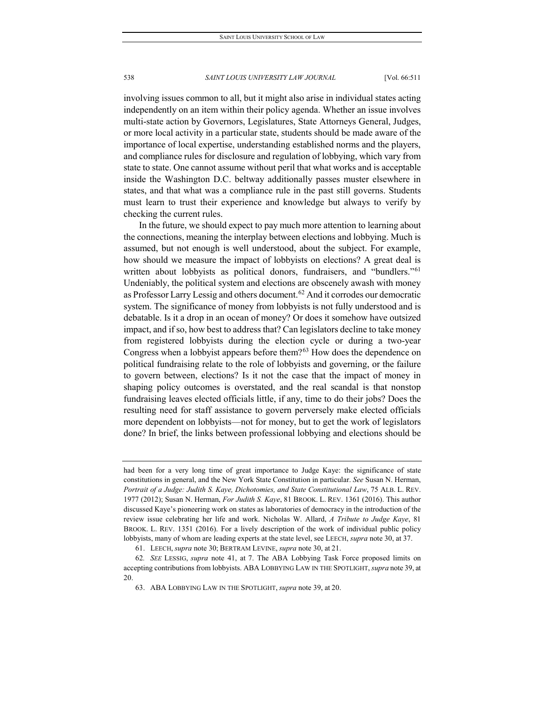involving issues common to all, but it might also arise in individual states acting independently on an item within their policy agenda. Whether an issue involves multi-state action by Governors, Legislatures, State Attorneys General, Judges, or more local activity in a particular state, students should be made aware of the importance of local expertise, understanding established norms and the players, and compliance rules for disclosure and regulation of lobbying, which vary from state to state. One cannot assume without peril that what works and is acceptable inside the Washington D.C. beltway additionally passes muster elsewhere in states, and that what was a compliance rule in the past still governs. Students must learn to trust their experience and knowledge but always to verify by checking the current rules.

In the future, we should expect to pay much more attention to learning about the connections, meaning the interplay between elections and lobbying. Much is assumed, but not enough is well understood, about the subject. For example, how should we measure the impact of lobbyists on elections? A great deal is written about lobbyists as political donors, fundraisers, and "bundlers."<sup>[61](#page-28-0)</sup> Undeniably, the political system and elections are obscenely awash with money as Professor Larry Lessig and others document.<sup>[62](#page-28-1)</sup> And it corrodes our democratic system. The significance of money from lobbyists is not fully understood and is debatable. Is it a drop in an ocean of money? Or does it somehow have outsized impact, and if so, how best to address that? Can legislators decline to take money from registered lobbyists during the election cycle or during a two-year Congress when a lobbyist appears before them?<sup>[63](#page-28-2)</sup> How does the dependence on political fundraising relate to the role of lobbyists and governing, or the failure to govern between, elections? Is it not the case that the impact of money in shaping policy outcomes is overstated, and the real scandal is that nonstop fundraising leaves elected officials little, if any, time to do their jobs? Does the resulting need for staff assistance to govern perversely make elected officials more dependent on lobbyists—not for money, but to get the work of legislators done? In brief, the links between professional lobbying and elections should be

had been for a very long time of great importance to Judge Kaye: the significance of state constitutions in general, and the New York State Constitution in particular. *See* Susan N. Herman, *Portrait of a Judge: Judith S. Kaye, Dichotomies, and State Constitutional Law*, 75 ALB. L. REV. 1977 (2012); Susan N. Herman, *For Judith S. Kaye*, 81 BROOK. L. REV. 1361 (2016). This author discussed Kaye's pioneering work on states as laboratories of democracy in the introduction of the review issue celebrating her life and work. Nicholas W. Allard, *A Tribute to Judge Kaye*, 81 BROOK. L. REV. 1351 (2016). For a lively description of the work of individual public policy lobbyists, many of whom are leading experts at the state level, see LEECH, *supra* note 30, at 37.

<sup>61.</sup> LEECH, *supra* note 30; BERTRAM LEVINE, *supra* note 30, at 21.

<span id="page-28-2"></span><span id="page-28-1"></span><span id="page-28-0"></span><sup>62</sup>*. SEE* LESSIG, *supra* note 41, at 7. The ABA Lobbying Task Force proposed limits on accepting contributions from lobbyists. ABA LOBBYING LAW IN THE SPOTLIGHT, *supra* note 39, at 20.

<sup>63.</sup> ABA LOBBYING LAW IN THE SPOTLIGHT, *supra* note 39, at 20.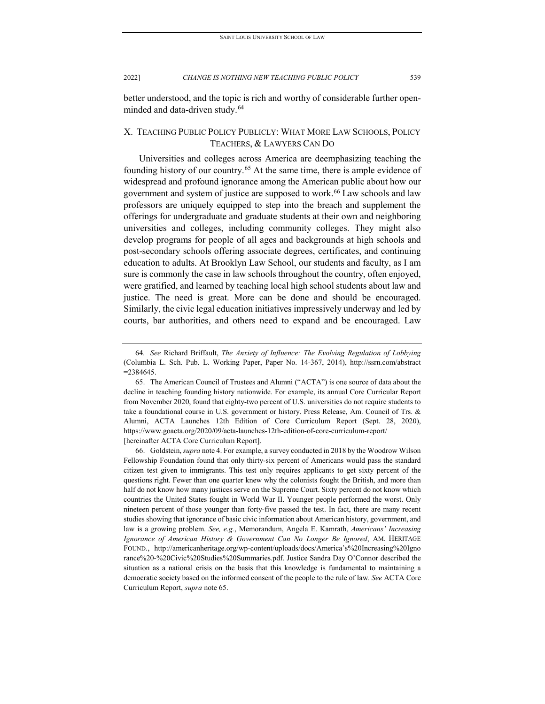better understood, and the topic is rich and worthy of considerable further open-minded and data-driven study.<sup>[64](#page-29-0)</sup>

# X. TEACHING PUBLIC POLICY PUBLICLY: WHAT MORE LAW SCHOOLS, POLICY TEACHERS, & LAWYERS CAN DO

Universities and colleges across America are deemphasizing teaching the founding history of our country.<sup>[65](#page-29-1)</sup> At the same time, there is ample evidence of widespread and profound ignorance among the American public about how our government and system of justice are supposed to work.<sup>[66](#page-29-2)</sup> Law schools and law professors are uniquely equipped to step into the breach and supplement the offerings for undergraduate and graduate students at their own and neighboring universities and colleges, including community colleges. They might also develop programs for people of all ages and backgrounds at high schools and post-secondary schools offering associate degrees, certificates, and continuing education to adults. At Brooklyn Law School, our students and faculty, as I am sure is commonly the case in law schools throughout the country, often enjoyed, were gratified, and learned by teaching local high school students about law and justice. The need is great. More can be done and should be encouraged. Similarly, the civic legal education initiatives impressively underway and led by courts, bar authorities, and others need to expand and be encouraged. Law

<span id="page-29-2"></span>66. Goldstein, *supra* note 4. For example, a survey conducted in 2018 by the Woodrow Wilson Fellowship Foundation found that only thirty-six percent of Americans would pass the standard citizen test given to immigrants. This test only requires applicants to get sixty percent of the questions right. Fewer than one quarter knew why the colonists fought the British, and more than half do not know how many justices serve on the Supreme Court. Sixty percent do not know which countries the United States fought in World War II. Younger people performed the worst. Only nineteen percent of those younger than forty-five passed the test. In fact, there are many recent studies showing that ignorance of basic civic information about American history, government, and law is a growing problem. *See, e.g.*, Memorandum, Angela E. Kamrath, *Americans' Increasing Ignorance of American History & Government Can No Longer Be Ignored*, AM. HERITAGE FOUND., http://americanheritage.org/wp-content/uploads/docs/America's%20Increasing%20Igno rance%20-%20Civic%20Studies%20Summaries.pdf. Justice Sandra Day O'Connor described the situation as a national crisis on the basis that this knowledge is fundamental to maintaining a democratic society based on the informed consent of the people to the rule of law. *See* ACTA Core Curriculum Report, *supra* note 65.

<span id="page-29-0"></span><sup>64</sup>*. See* Richard Briffault, *The Anxiety of Influence: The Evolving Regulation of Lobbying* (Columbia L. Sch. Pub. L. Working Paper, Paper No. 14-367, 2014), http://ssrn.com/abstract =2384645.

<span id="page-29-1"></span><sup>65.</sup> The American Council of Trustees and Alumni ("ACTA") is one source of data about the decline in teaching founding history nationwide. For example, its annual Core Curricular Report from November 2020, found that eighty-two percent of U.S. universities do not require students to take a foundational course in U.S. government or history. Press Release, Am. Council of Trs. & Alumni, ACTA Launches 12th Edition of Core Curriculum Report (Sept. 28, 2020), https://www.goacta.org/2020/09/acta-launches-12th-edition-of-core-curriculum-report/ [hereinafter ACTA Core Curriculum Report].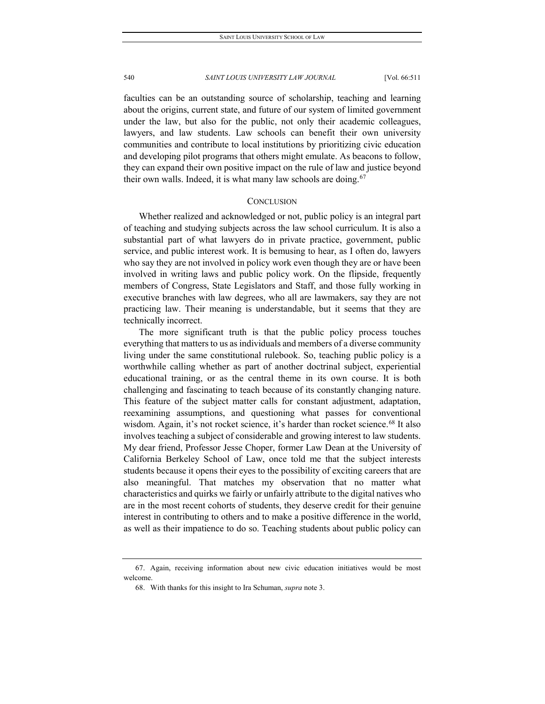faculties can be an outstanding source of scholarship, teaching and learning about the origins, current state, and future of our system of limited government under the law, but also for the public, not only their academic colleagues, lawyers, and law students. Law schools can benefit their own university communities and contribute to local institutions by prioritizing civic education and developing pilot programs that others might emulate. As beacons to follow, they can expand their own positive impact on the rule of law and justice beyond their own walls. Indeed, it is what many law schools are doing.  $67$ 

### **CONCLUSION**

Whether realized and acknowledged or not, public policy is an integral part of teaching and studying subjects across the law school curriculum. It is also a substantial part of what lawyers do in private practice, government, public service, and public interest work. It is bemusing to hear, as I often do, lawyers who say they are not involved in policy work even though they are or have been involved in writing laws and public policy work. On the flipside, frequently members of Congress, State Legislators and Staff, and those fully working in executive branches with law degrees, who all are lawmakers, say they are not practicing law. Their meaning is understandable, but it seems that they are technically incorrect.

The more significant truth is that the public policy process touches everything that matters to us as individuals and members of a diverse community living under the same constitutional rulebook. So, teaching public policy is a worthwhile calling whether as part of another doctrinal subject, experiential educational training, or as the central theme in its own course. It is both challenging and fascinating to teach because of its constantly changing nature. This feature of the subject matter calls for constant adjustment, adaptation, reexamining assumptions, and questioning what passes for conventional wisdom. Again, it's not rocket science, it's harder than rocket science.<sup>[68](#page-30-1)</sup> It also involves teaching a subject of considerable and growing interest to law students. My dear friend, Professor Jesse Choper, former Law Dean at the University of California Berkeley School of Law, once told me that the subject interests students because it opens their eyes to the possibility of exciting careers that are also meaningful. That matches my observation that no matter what characteristics and quirks we fairly or unfairly attribute to the digital natives who are in the most recent cohorts of students, they deserve credit for their genuine interest in contributing to others and to make a positive difference in the world, as well as their impatience to do so. Teaching students about public policy can

<span id="page-30-1"></span><span id="page-30-0"></span><sup>67.</sup> Again, receiving information about new civic education initiatives would be most welcome.

<sup>68.</sup> With thanks for this insight to Ira Schuman, *supra* note 3.